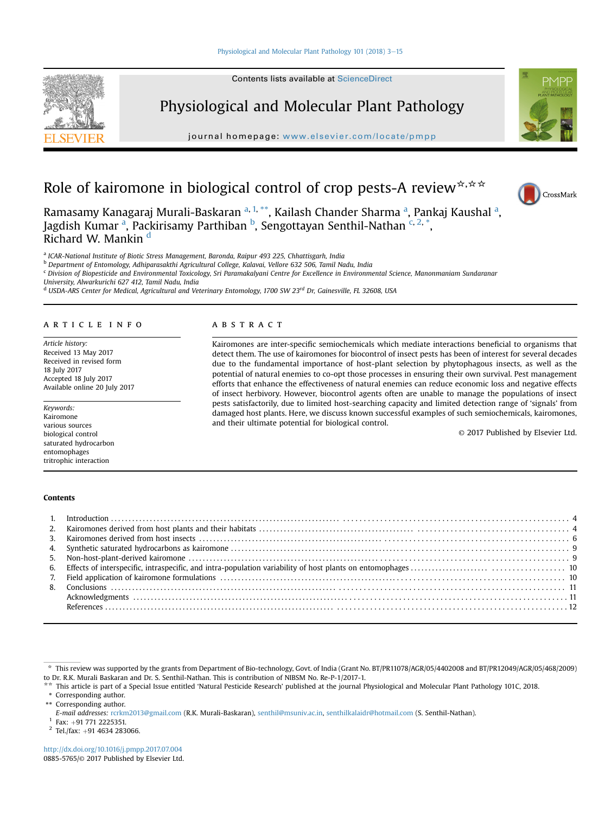# [Physiological and Molecular Plant Pathology 101 \(2018\) 3](http://dx.doi.org/10.1016/j.pmpp.2017.07.004)-[15](http://dx.doi.org/10.1016/j.pmpp.2017.07.004)





Physiological and Molecular Plant Pathology

journal homepage: [www.elsevier.com/locate/pmpp](http://www.elsevier.com/locate/pmpp)



# Role of kairomone in biological control of crop pests-A review $\star$ ,  $\star \star$



Ramasamy Kanagaraj Murali-Baskaran <sup>a, 1,</sup> \*\*, Kailash Chander Sharma <sup>a</sup>, Pankaj Kaushal <sup>a</sup>, Jagdish Kumar <sup>a</sup>, Packirisamy Parthiban <sup>b</sup>, Sengottayan Senthil-Nathan <sup>c, 2,</sup> \*, Richard W. Mankin <sup>d</sup>

<sup>a</sup> ICAR-National Institute of Biotic Stress Management, Baronda, Raipur 493 225, Chhattisgarh, India

<sup>b</sup> Department of Entomology, Adhiparasakthi Agricultural College, Kalavai, Vellore 632 506, Tamil Nadu, India

<sup>c</sup> Division of Biopesticide and Environmental Toxicology, Sri Paramakalyani Centre for Excellence in Environmental Science, Manonmaniam Sundaranar

University, Alwarkurichi 627 412, Tamil Nadu, India

 $d$  USDA-ARS Center for Medical, Agricultural and Veterinary Entomology, 1700 SW 23rd Dr, Gainesville, FL 32608, USA

#### article info

Article history: Received 13 May 2017 Received in revised form 18 July 2017 Accepted 18 July 2017 Available online 20 July 2017

Keywords: Kairomone various sources biological control saturated hydrocarbon entomophages tritrophic interaction

#### **ABSTRACT**

Kairomones are inter-specific semiochemicals which mediate interactions beneficial to organisms that detect them. The use of kairomones for biocontrol of insect pests has been of interest for several decades due to the fundamental importance of host-plant selection by phytophagous insects, as well as the potential of natural enemies to co-opt those processes in ensuring their own survival. Pest management efforts that enhance the effectiveness of natural enemies can reduce economic loss and negative effects of insect herbivory. However, biocontrol agents often are unable to manage the populations of insect pests satisfactorily, due to limited host-searching capacity and limited detection range of 'signals' from damaged host plants. Here, we discuss known successful examples of such semiochemicals, kairomones, and their ultimate potential for biological control.

© 2017 Published by Elsevier Ltd.

#### Contents

\* This review was supported by the grants from Department of Bio-technology, Govt. of India (Grant No. BT/PR11078/AGR/05/4402008 and BT/PR12049/AGR/05/468/2009) to Dr. R.K. Murali Baskaran and Dr. S. Senthil-Nathan. This is contribution of NIBSM No. Re-P-1/2017-1.

This article is part of a Special Issue entitled 'Natural Pesticide Research' published at the journal Physiological and Molecular Plant Pathology 101C, 2018.

\* Corresponding author.

\*\* Corresponding author.

 $2$  Tel./fax: +91 4634 283066.

<http://dx.doi.org/10.1016/j.pmpp.2017.07.004> 0885-5765/© 2017 Published by Elsevier Ltd.

E-mail addresses: [rcrkm2013@gmail.com](mailto:rcrkm2013@gmail.com) (R.K. Murali-Baskaran), [senthil@msuniv.ac.in,](mailto:senthil@msuniv.ac.in) [senthilkalaidr@hotmail.com](mailto:senthilkalaidr@hotmail.com) (S. Senthil-Nathan).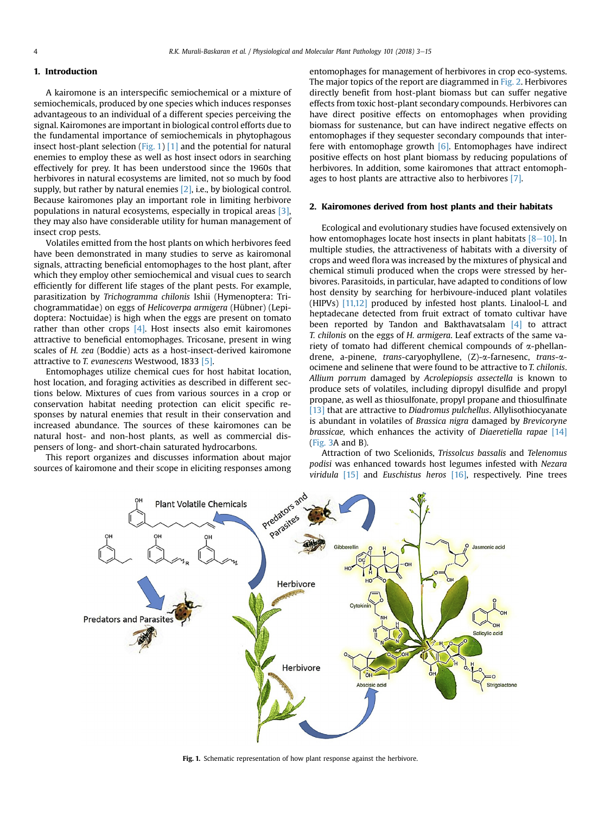# <span id="page-1-0"></span>1. Introduction

A kairomone is an interspecific semiochemical or a mixture of semiochemicals, produced by one species which induces responses advantageous to an individual of a different species perceiving the signal. Kairomones are important in biological control efforts due to the fundamental importance of semiochemicals in phytophagous insect host-plant selection (Fig. 1) [\[1\]](#page-9-0) and the potential for natural enemies to employ these as well as host insect odors in searching effectively for prey. It has been understood since the 1960s that herbivores in natural ecosystems are limited, not so much by food supply, but rather by natural enemies [\[2\],](#page-9-0) i.e., by biological control. Because kairomones play an important role in limiting herbivore populations in natural ecosystems, especially in tropical areas [\[3\],](#page-9-0) they may also have considerable utility for human management of insect crop pests.

Volatiles emitted from the host plants on which herbivores feed have been demonstrated in many studies to serve as kairomonal signals, attracting beneficial entomophages to the host plant, after which they employ other semiochemical and visual cues to search efficiently for different life stages of the plant pests. For example, parasitization by Trichogramma chilonis Ishii (Hymenoptera: Trichogrammatidae) on eggs of Helicoverpa armigera (Hübner) (Lepidoptera: Noctuidae) is high when the eggs are present on tomato rather than other crops  $[4]$ . Host insects also emit kairomones attractive to beneficial entomophages. Tricosane, present in wing scales of H. zea (Boddie) acts as a host-insect-derived kairomone attractive to T. evanescens Westwood, 1833 [\[5\]](#page-9-0).

Entomophages utilize chemical cues for host habitat location, host location, and foraging activities as described in different sections below. Mixtures of cues from various sources in a crop or conservation habitat needing protection can elicit specific responses by natural enemies that result in their conservation and increased abundance. The sources of these kairomones can be natural host- and non-host plants, as well as commercial dispensers of long- and short-chain saturated hydrocarbons.

This report organizes and discusses information about major sources of kairomone and their scope in eliciting responses among entomophages for management of herbivores in crop eco-systems. The major topics of the report are diagrammed in [Fig. 2.](#page-2-0) Herbivores directly benefit from host-plant biomass but can suffer negative effects from toxic host-plant secondary compounds. Herbivores can have direct positive effects on entomophages when providing biomass for sustenance, but can have indirect negative effects on entomophages if they sequester secondary compounds that interfere with entomophage growth [\[6\].](#page-9-0) Entomophages have indirect positive effects on host plant biomass by reducing populations of herbivores. In addition, some kairomones that attract entomophages to host plants are attractive also to herbivores [\[7\]](#page-9-0).

# 2. Kairomones derived from host plants and their habitats

Ecological and evolutionary studies have focused extensively on how entomophages locate host insects in plant habitats  $[8-10]$  $[8-10]$  $[8-10]$ . In multiple studies, the attractiveness of habitats with a diversity of crops and weed flora was increased by the mixtures of physical and chemical stimuli produced when the crops were stressed by herbivores. Parasitoids, in particular, have adapted to conditions of low host density by searching for herbivoure-induced plant volatiles (HIPVs) [\[11,12\]](#page-9-0) produced by infested host plants. Linalool-L and heptadecane detected from fruit extract of tomato cultivar have been reported by Tandon and Bakthavatsalam  $\begin{bmatrix}4\end{bmatrix}$  to attract T. chilonis on the eggs of H. armigera. Leaf extracts of the same variety of tomato had different chemical compounds of  $\alpha$ -phellandrene, a-pinene, *trans-caryophyllene*, (Ζ)-α-farnesenc, *trans-α*ocimene and selinene that were found to be attractive to T. chilonis. Allium porrum damaged by Acrolepiopsis assectella is known to produce sets of volatiles, including dipropyl disulfide and propyl propane, as well as thiosulfonate, propyl propane and thiosulfinate [\[13\]](#page-9-0) that are attractive to Diadromus pulchellus. Allylisothiocyanate is abundant in volatiles of Brassica nigra damaged by Brevicoryne brassicae, which enhances the activity of Diaeretiella rapae [\[14\]](#page-9-0) ([Fig. 3A](#page-3-0) and B).

Attraction of two Scelionids, Trissolcus bassalis and Telenomus podisi was enhanced towards host legumes infested with Nezara viridula  $[15]$  and Euschistus heros  $[16]$ , respectively. Pine trees



Fig. 1. Schematic representation of how plant response against the herbivore.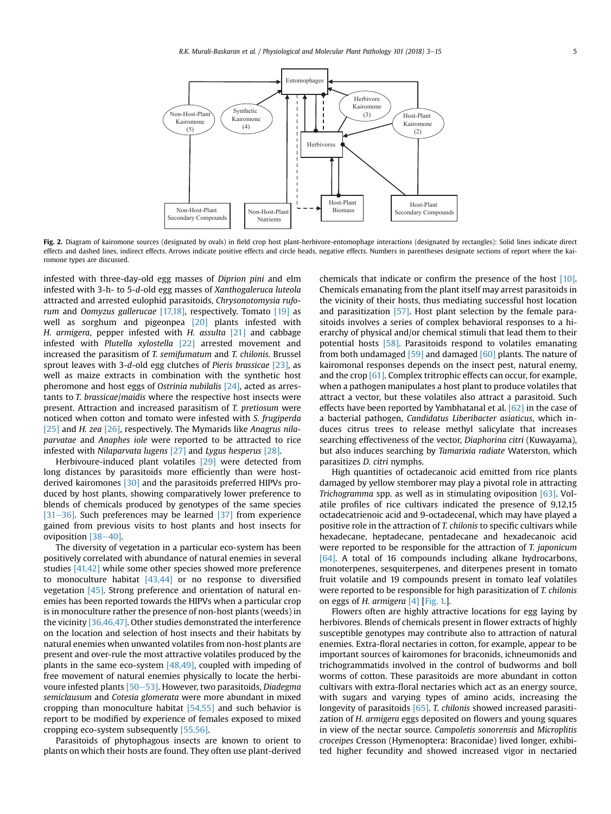<span id="page-2-0"></span>

Fig. 2. Diagram of kairomone sources (designated by ovals) in field crop host plant-herbivore-entomophage interactions (designated by rectangles): Solid lines indicate direct effects and dashed lines, indirect effects. Arrows indicate positive effects and circle heads, negative effects. Numbers in parentheses designate sections of report where the kairomone types are discussed.

infested with three-day-old egg masses of Diprion pini and elm infested with 3-h- to 5-d-old egg masses of Xanthogaleruca luteola attracted and arrested eulophid parasitoids, Chrysonotomysia rufo-rum and Oomyzus gallerucae [\[17,18\]](#page-9-0), respectively. Tomato [\[19\]](#page-9-0) as well as sorghum and pigeonpea [\[20\]](#page-9-0) plants infested with H. armigera, pepper infested with H. assulta [\[21\]](#page-9-0) and cabbage infested with Plutella xylostella [\[22\]](#page-9-0) arrested movement and increased the parasitism of T. semifumatum and T. chilonis. Brussel sprout leaves with 3-d-old egg clutches of Pieris brassicae [\[23\],](#page-9-0) as well as maize extracts in combination with the synthetic host pheromone and host eggs of Ostrinia nubilalis [\[24\],](#page-9-0) acted as arrestants to T. brassicae/maidis where the respective host insects were present. Attraction and increased parasitism of T. pretiosum were noticed when cotton and tomato were infested with S. frugiperda [\[25\]](#page-9-0) and H. zea [\[26\]](#page-9-0), respectively. The Mymarids like Anagrus nilaparvatae and Anaphes iole were reported to be attracted to rice infested with Nilaparvata lugens [\[27\]](#page-9-0) and Lygus hesperus [\[28\].](#page-9-0)

Herbivoure-induced plant volatiles [\[29\]](#page-9-0) were detected from long distances by parasitoids more efficiently than were hostderived kairomones [\[30\]](#page-9-0) and the parasitoids preferred HIPVs produced by host plants, showing comparatively lower preference to blends of chemicals produced by genotypes of the same species [\[31](#page-9-0)–[36\].](#page-9-0) Such preferences may be learned [\[37\]](#page-9-0) from experience gained from previous visits to host plants and host insects for oviposition  $[38-40]$  $[38-40]$  $[38-40]$ .

The diversity of vegetation in a particular eco-system has been positively correlated with abundance of natural enemies in several studies [\[41,42\]](#page-9-0) while some other species showed more preference to monoculture habitat  $[43,44]$  or no response to diversified vegetation [\[45\].](#page-9-0) Strong preference and orientation of natural enemies has been reported towards the HIPVs when a particular crop is in monoculture rather the presence of non-host plants (weeds) in the vicinity [\[36,46,47\]](#page-9-0). Other studies demonstrated the interference on the location and selection of host insects and their habitats by natural enemies when unwanted volatiles from non-host plants are present and over-rule the most attractive volatiles produced by the plants in the same eco-system [\[48,49\]](#page-9-0), coupled with impeding of free movement of natural enemies physically to locate the herbivoure infested plants  $[50-53]$  $[50-53]$  $[50-53]$ . However, two parasitoids, Diadegma semiclausum and Cotesia glomerata were more abundant in mixed cropping than monoculture habitat [\[54,55\]](#page-10-0) and such behavior is report to be modified by experience of females exposed to mixed cropping eco-system subsequently [\[55,56\].](#page-10-0)

Parasitoids of phytophagous insects are known to orient to plants on which their hosts are found. They often use plant-derived chemicals that indicate or confirm the presence of the host [\[10\].](#page-9-0) Chemicals emanating from the plant itself may arrest parasitoids in the vicinity of their hosts, thus mediating successful host location and parasitization [\[57\]](#page-10-0). Host plant selection by the female parasitoids involves a series of complex behavioral responses to a hierarchy of physical and/or chemical stimuli that lead them to their potential hosts [\[58\].](#page-10-0) Parasitoids respond to volatiles emanating from both undamaged [\[59\]](#page-10-0) and damaged [\[60\]](#page-10-0) plants. The nature of kairomonal responses depends on the insect pest, natural enemy, and the crop [\[61\].](#page-10-0) Complex tritrophic effects can occur, for example, when a pathogen manipulates a host plant to produce volatiles that attract a vector, but these volatiles also attract a parasitoid. Such effects have been reported by Yambhatanal et al.  $[62]$  in the case of a bacterial pathogen, Candidatus Liberibacter asiaticus, which induces citrus trees to release methyl salicylate that increases searching effectiveness of the vector, Diaphorina citri (Kuwayama), but also induces searching by Tamarixia radiate Waterston, which parasitizes D. citri nymphs.

High quantities of octadecanoic acid emitted from rice plants damaged by yellow stemborer may play a pivotal role in attracting Trichogramma spp. as well as in stimulating oviposition [\[63\].](#page-10-0) Volatile profiles of rice cultivars indicated the presence of 9,12,15 octadecatrienoic acid and 9-octadecenal, which may have played a positive role in the attraction of T. chilonis to specific cultivars while hexadecane, heptadecane, pentadecane and hexadecanoic acid were reported to be responsible for the attraction of T. japonicum [\[64\].](#page-10-0) A total of 16 compounds including alkane hydrocarbons, monoterpenes, sesquiterpenes, and diterpenes present in tomato fruit volatile and 19 compounds present in tomato leaf volatiles were reported to be responsible for high parasitization of T. chilonis on eggs of H. armigera [\[4\]](#page-9-0) [\[Fig. 1.](#page-1-0)].

Flowers often are highly attractive locations for egg laying by herbivores. Blends of chemicals present in flower extracts of highly susceptible genotypes may contribute also to attraction of natural enemies. Extra-floral nectaries in cotton, for example, appear to be important sources of kairomones for braconids, ichneumonids and trichogrammatids involved in the control of budworms and boll worms of cotton. These parasitoids are more abundant in cotton cultivars with extra-floral nectaries which act as an energy source, with sugars and varying types of amino acids, increasing the longevity of parasitoids [\[65\].](#page-10-0) T. chilonis showed increased parasitization of H. armigera eggs deposited on flowers and young squares in view of the nectar source. Campoletis sonorensis and Microplitis croceipes Cresson (Hymenoptera: Braconidae) lived longer, exhibited higher fecundity and showed increased vigor in nectaried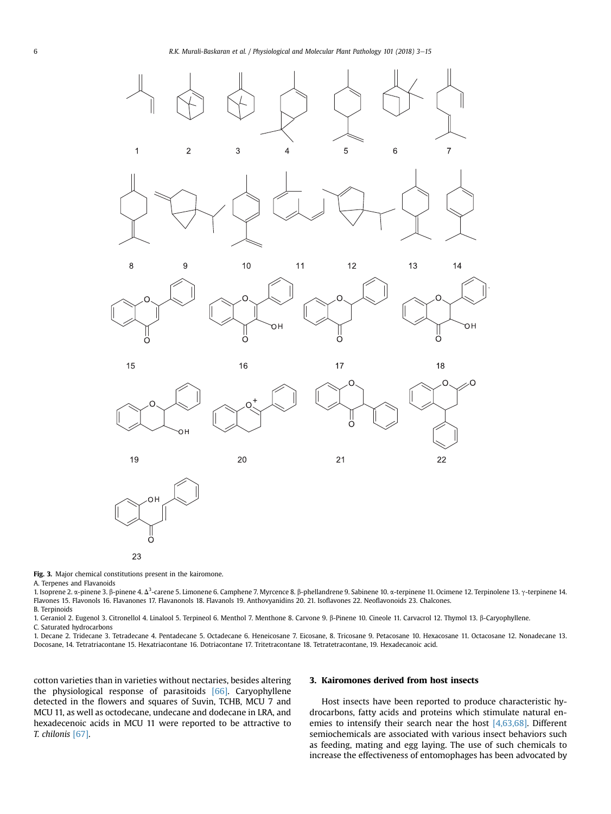<span id="page-3-0"></span>

23

Fig. 3. Major chemical constitutions present in the kairomone.

A. Terpenes and Flavanoids

1. Isoprene 2. α-pinene 3. β-pinene 4. Δ<sup>3</sup>-carene 5. Limonene 6. Camphene 7. Myrcence 8. β-phellandrene 9. Sabinene 10. α-terpinene 11. Ocimene 12. Terpinolene 13. γ-terpinene 14.<br>Flavores 15. Flavorele 16. Flavorence 1 Flavones 15. Flavonols 16. Flavanones 17. Flavanonols 18. Flavanols 19. Anthovyanidins 20. 21. Isoflavones 22. Neoflavonoids 23. Chalcones. B. Terpinoids

1. Geraniol 2. Eugenol 3. Citronellol 4. Linalool 5. Terpineol 6. Menthol 7. Menthone 8. Carvone 9. b-Pinene 10. Cineole 11. Carvacrol 12. Thymol 13. b-Caryophyllene.

C. Saturated hydrocarbons

1. Decane 2. Tridecane 3. Tetradecane 4. Pentadecane 5. Octadecane 6. Heneicosane 7. Eicosane, 8. Tricosane 9. Petacosane 10. Hexacosane 11. Octacosane 12. Nonadecane 13. Docosane, 14. Tetratriacontane 15. Hexatriacontane 16. Dotriacontane 17. Tritetracontane 18. Tetratetracontane, 19. Hexadecanoic acid.

cotton varieties than in varieties without nectaries, besides altering the physiological response of parasitoids [\[66\].](#page-10-0) Caryophyllene detected in the flowers and squares of Suvin, TCHB, MCU 7 and MCU 11, as well as octodecane, undecane and dodecane in LRA, and hexadecenoic acids in MCU 11 were reported to be attractive to T. chilonis [\[67\]](#page-10-0).

## 3. Kairomones derived from host insects

Host insects have been reported to produce characteristic hydrocarbons, fatty acids and proteins which stimulate natural enemies to intensify their search near the host [\[4,63,68\].](#page-9-0) Different semiochemicals are associated with various insect behaviors such as feeding, mating and egg laying. The use of such chemicals to increase the effectiveness of entomophages has been advocated by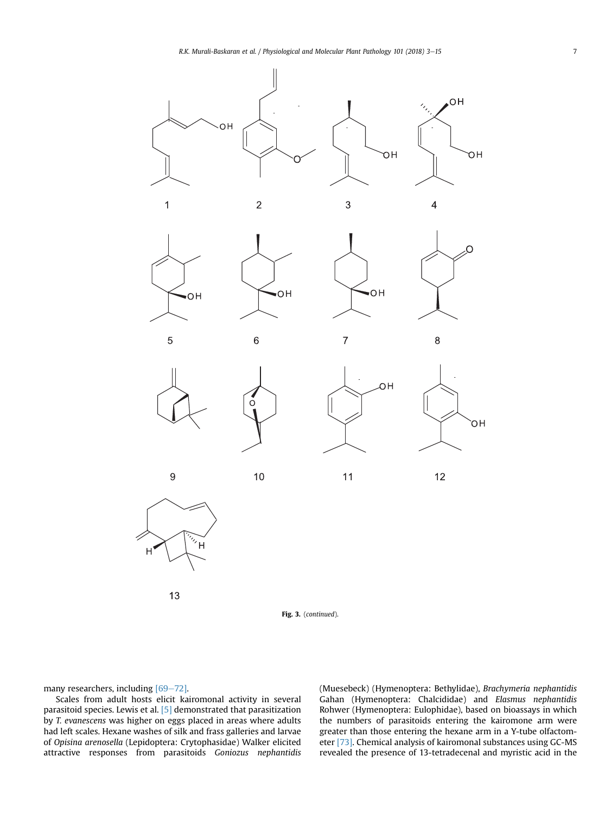

Fig. 3. (continued).

many researchers, including  $[69-72]$  $[69-72]$  $[69-72]$ .

Scales from adult hosts elicit kairomonal activity in several parasitoid species. Lewis et al. [\[5\]](#page-9-0) demonstrated that parasitization by T. evanescens was higher on eggs placed in areas where adults had left scales. Hexane washes of silk and frass galleries and larvae of Opisina arenosella (Lepidoptera: Crytophasidae) Walker elicited attractive responses from parasitoids Goniozus nephantidis (Muesebeck) (Hymenoptera: Bethylidae), Brachymeria nephantidis Gahan (Hymenoptera: Chalcididae) and Elasmus nephantidis Rohwer (Hymenoptera: Eulophidae), based on bioassays in which the numbers of parasitoids entering the kairomone arm were greater than those entering the hexane arm in a Y-tube olfactometer [\[73\].](#page-10-0) Chemical analysis of kairomonal substances using GC-MS revealed the presence of 13-tetradecenal and myristic acid in the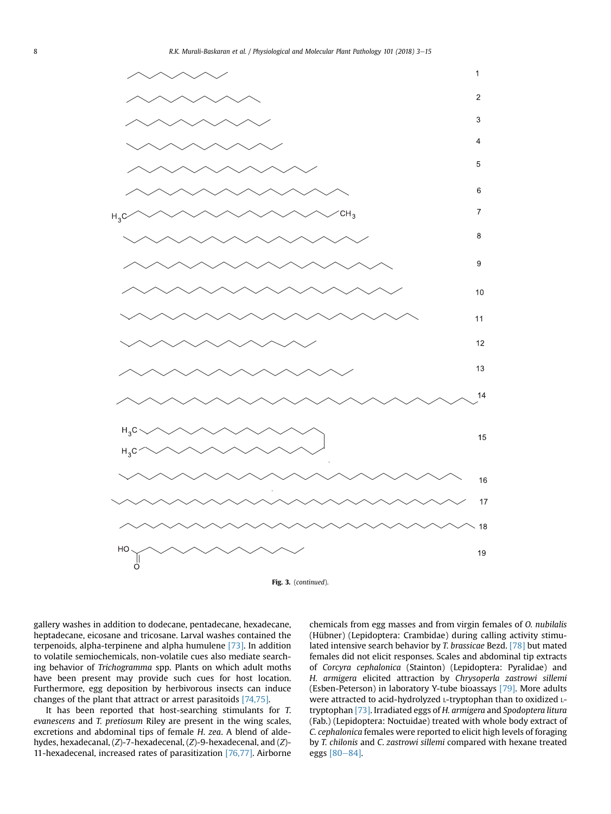



gallery washes in addition to dodecane, pentadecane, hexadecane, heptadecane, eicosane and tricosane. Larval washes contained the terpenoids, alpha-terpinene and alpha humulene [\[73\].](#page-10-0) In addition to volatile semiochemicals, non-volatile cues also mediate searching behavior of Trichogramma spp. Plants on which adult moths have been present may provide such cues for host location. Furthermore, egg deposition by herbivorous insects can induce changes of the plant that attract or arrest parasitoids [\[74,75\].](#page-10-0)

It has been reported that host-searching stimulants for T. evanescens and T. pretiosum Riley are present in the wing scales, excretions and abdominal tips of female H. zea. A blend of aldehydes, hexadecanal, (Z)-7-hexadecenal, (Z)-9-hexadecenal, and (Z)- 11-hexadecenal, increased rates of parasitization [\[76,77\]](#page-10-0). Airborne

chemicals from egg masses and from virgin females of O. nubilalis (Hübner) (Lepidoptera: Crambidae) during calling activity stimulated intensive search behavior by T. brassicae Bezd. [\[78\]](#page-10-0) but mated females did not elicit responses. Scales and abdominal tip extracts of Corcyra cephalonica (Stainton) (Lepidoptera: Pyralidae) and H. armigera elicited attraction by Chrysoperla zastrowi sillemi (Esben-Peterson) in laboratory Y-tube bioassays [\[79\]](#page-10-0). More adults were attracted to acid-hydrolyzed L-tryptophan than to oxidized Ltryptophan [\[73\]](#page-10-0). Irradiated eggs of H. armigera and Spodoptera litura (Fab.) (Lepidoptera: Noctuidae) treated with whole body extract of C. cephalonica females were reported to elicit high levels of foraging by T. chilonis and C. zastrowi sillemi compared with hexane treated eggs  $[80-84]$  $[80-84]$  $[80-84]$ .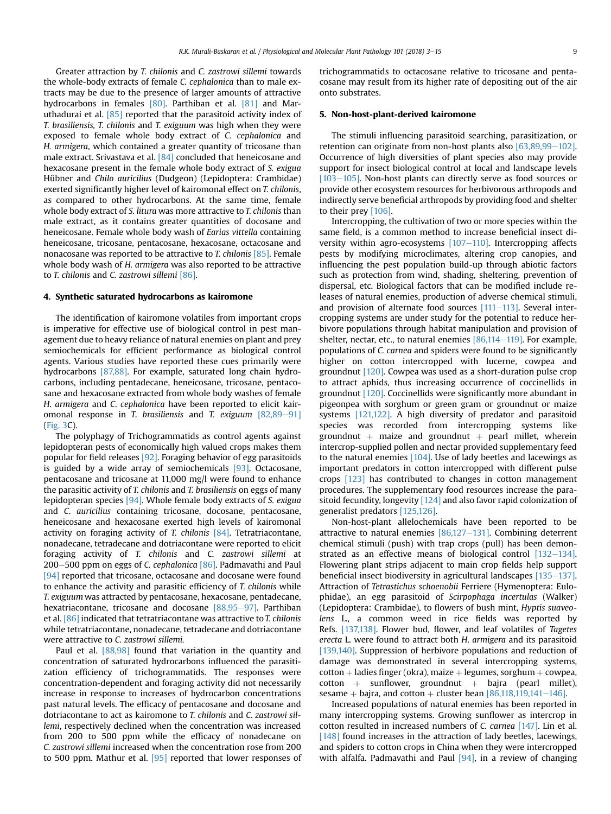Greater attraction by T. chilonis and C. zastrowi sillemi towards the whole-body extracts of female C. cephalonica than to male extracts may be due to the presence of larger amounts of attractive hydrocarbons in females [\[80\]](#page-10-0). Parthiban et al. [\[81\]](#page-10-0) and Maruthadurai et al. [\[85\]](#page-10-0) reported that the parasitoid activity index of T. brasiliensis, T. chilonis and T. exiguum was high when they were exposed to female whole body extract of C. cephalonica and H. armigera, which contained a greater quantity of tricosane than male extract. Srivastava et al. [\[84\]](#page-10-0) concluded that heneicosane and hexacosane present in the female whole body extract of S. exigua Hübner and Chilo auricilius (Dudgeon) (Lepidoptera: Crambidae) exerted significantly higher level of kairomonal effect on T. chilonis, as compared to other hydrocarbons. At the same time, female whole body extract of S. litura was more attractive to T. chilonis than male extract, as it contains greater quantities of docosane and heneicosane. Female whole body wash of Earias vittella containing heneicosane, tricosane, pentacosane, hexacosane, octacosane and nonacosane was reported to be attractive to *T. chilonis* [\[85\].](#page-10-0) Female whole body wash of H. armigera was also reported to be attractive to T. chilonis and C. zastrowi sillemi [\[86\].](#page-10-0)

#### 4. Synthetic saturated hydrocarbons as kairomone

The identification of kairomone volatiles from important crops is imperative for effective use of biological control in pest management due to heavy reliance of natural enemies on plant and prey semiochemicals for efficient performance as biological control agents. Various studies have reported these cues primarily were hydrocarbons [\[87,88\]](#page-10-0). For example, saturated long chain hydrocarbons, including pentadecane, heneicosane, tricosane, pentacosane and hexacosane extracted from whole body washes of female H. armigera and C. cephalonica have been reported to elicit kairomonal response in T. brasiliensis and T. exiguum  $[82,89-91]$  $[82,89-91]$  $[82,89-91]$ ([Fig. 3C](#page-3-0)).

The polyphagy of Trichogrammatids as control agents against lepidopteran pests of economically high valued crops makes them popular for field releases [\[92\]](#page-10-0). Foraging behavior of egg parasitoids is guided by a wide array of semiochemicals [\[93\].](#page-10-0) Octacosane, pentacosane and tricosane at 11,000 mg/l were found to enhance the parasitic activity of T. chilonis and T. brasiliensis on eggs of many lepidopteran species [\[94\]](#page-10-0). Whole female body extracts of S. exigua and C. auricilius containing tricosane, docosane, pentacosane, heneicosane and hexacosane exerted high levels of kairomonal activity on foraging activity of T. chilonis [\[84\].](#page-10-0) Tetratriacontane, nonadecane, tetradecane and dotriacontane were reported to elicit foraging activity of T. chilonis and C. zastrowi sillemi at 200-500 ppm on eggs of C. cephalonica  $[86]$ . Padmavathi and Paul [\[94\]](#page-10-0) reported that tricosane, octacosane and docosane were found to enhance the activity and parasitic efficiency of T. chilonis while T. exiguum was attracted by pentacosane, hexacosane, pentadecane, hexatriacontane, tricosane and docosane  $[88,95-97]$  $[88,95-97]$  $[88,95-97]$ . Parthiban et al. [\[86\]](#page-10-0) indicated that tetratriacontane was attractive to T. chilonis while tetratriacontane, nonadecane, tetradecane and dotriacontane were attractive to C. zastrowi sillemi.

Paul et al. [\[88,98\]](#page-10-0) found that variation in the quantity and concentration of saturated hydrocarbons influenced the parasitization efficiency of trichogrammatids. The responses were concentration-dependent and foraging activity did not necessarily increase in response to increases of hydrocarbon concentrations past natural levels. The efficacy of pentacosane and docosane and dotriacontane to act as kairomone to T. chilonis and C. zastrowi sillemi, respectively declined when the concentration was increased from 200 to 500 ppm while the efficacy of nonadecane on C. zastrowi sillemi increased when the concentration rose from 200 to 500 ppm. Mathur et al. [\[95\]](#page-10-0) reported that lower responses of trichogrammatids to octacosane relative to tricosane and pentacosane may result from its higher rate of depositing out of the air onto substrates.

## 5. Non-host-plant-derived kairomone

The stimuli influencing parasitoid searching, parasitization, or retention can originate from non-host plants also  $[63.89.99-102]$ . Occurrence of high diversities of plant species also may provide support for insect biological control at local and landscape levels  $[103-105]$  $[103-105]$ . Non-host plants can directly serve as food sources or provide other ecosystem resources for herbivorous arthropods and indirectly serve beneficial arthropods by providing food and shelter to their prey [\[106\]](#page-10-0).

Intercropping, the cultivation of two or more species within the same field, is a common method to increase beneficial insect diversity within agro-ecosystems  $[107-110]$  $[107-110]$  $[107-110]$ . Intercropping affects pests by modifying microclimates, altering crop canopies, and influencing the pest population build-up through abiotic factors such as protection from wind, shading, sheltering, prevention of dispersal, etc. Biological factors that can be modified include releases of natural enemies, production of adverse chemical stimuli, and provision of alternate food sources  $[111–113]$  $[111–113]$  $[111–113]$ . Several intercropping systems are under study for the potential to reduce herbivore populations through habitat manipulation and provision of shelter, nectar, etc., to natural enemies  $[86,114-119]$  $[86,114-119]$  $[86,114-119]$ . For example, populations of C. carnea and spiders were found to be significantly higher on cotton intercropped with lucerne, cowpea and groundnut [\[120\].](#page-11-0) Cowpea was used as a short-duration pulse crop to attract aphids, thus increasing occurrence of coccinellids in groundnut [\[120\].](#page-11-0) Coccinellids were significantly more abundant in pigeonpea with sorghum or green gram or groundnut or maize systems [\[121,122\]](#page-11-0). A high diversity of predator and parasitoid species was recorded from intercropping systems like groundnut + maize and groundnut + pearl millet, wherein intercrop-supplied pollen and nectar provided supplementary feed to the natural enemies [\[104\].](#page-10-0) Use of lady beetles and lacewings as important predators in cotton intercropped with different pulse crops [\[123\]](#page-11-0) has contributed to changes in cotton management procedures. The supplementary food resources increase the parasitoid fecundity, longevity [\[124\]](#page-11-0) and also favor rapid colonization of generalist predators [\[125,126\].](#page-11-0)

Non-host-plant allelochemicals have been reported to be attractive to natural enemies  $[86,127-131]$  $[86,127-131]$  $[86,127-131]$ . Combining deterrent chemical stimuli (push) with trap crops (pull) has been demonstrated as an effective means of biological control  $[132-134]$  $[132-134]$ . Flowering plant strips adjacent to main crop fields help support beneficial insect biodiversity in agricultural landscapes  $[135-137]$  $[135-137]$ . Attraction of Tetrastichus schoenobii Ferriere (Hymenoptera: Eulophidae), an egg parasitoid of Scirpophaga incertulas (Walker) (Lepidoptera: Crambidae), to flowers of bush mint, Hyptis suaveolens L., a common weed in rice fields was reported by Refs. [\[137,138\].](#page-11-0) Flower bud, flower, and leaf volatiles of Tagetes erecta L. were found to attract both H. armigera and its parasitoid [\[139,140\]](#page-11-0). Suppression of herbivore populations and reduction of damage was demonstrated in several intercropping systems,  $\text{cottom} + \text{ladies finger}$  (okra), maize  $+$  legumes, sorghum  $+$  cowpea,  $\cot$ ton + sunflower, groundnut + bajra (pearl millet), sesame + bajra, and cotton + cluster bean  $[86,118,119,141-146]$  $[86,118,119,141-146]$ .

Increased populations of natural enemies has been reported in many intercropping systems. Growing sunflower as intercrop in cotton resulted in increased numbers of C. carnea [\[147\]](#page-11-0). Lin et al. [\[148\]](#page-11-0) found increases in the attraction of lady beetles, lacewings, and spiders to cotton crops in China when they were intercropped with alfalfa. Padmavathi and Paul  $[94]$ , in a review of changing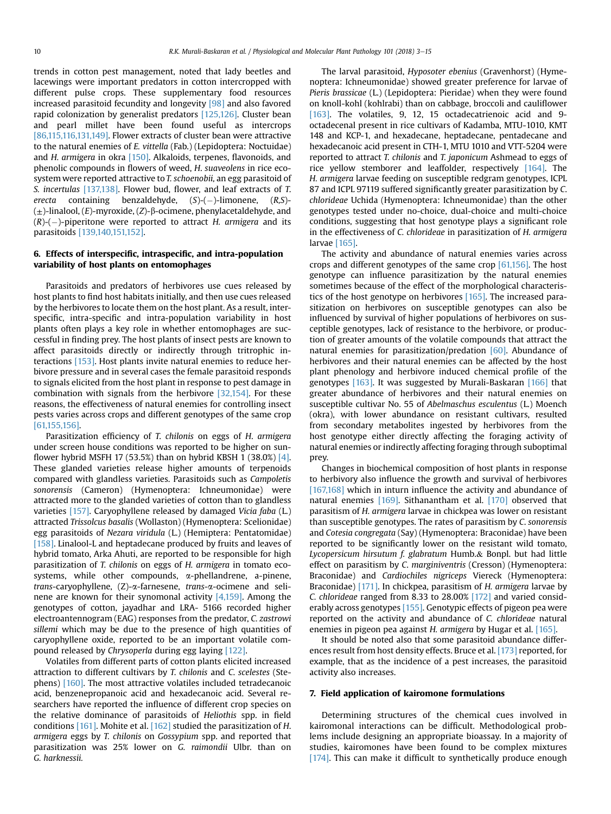trends in cotton pest management, noted that lady beetles and lacewings were important predators in cotton intercropped with different pulse crops. These supplementary food resources increased parasitoid fecundity and longevity [\[98\]](#page-10-0) and also favored rapid colonization by generalist predators [\[125,126\]](#page-11-0). Cluster bean and pearl millet have been found useful as intercrops [\[86,115,116,131,149\].](#page-10-0) Flower extracts of cluster bean were attractive to the natural enemies of E. vittella (Fab.) (Lepidoptera: Noctuidae) and H. armigera in okra [\[150\].](#page-11-0) Alkaloids, terpenes, flavonoids, and phenolic compounds in flowers of weed, H. suaveolens in rice ecosystem were reported attractive to T. schoenobii, an egg parasitoid of S. incertulas [\[137,138\]](#page-11-0). Flower bud, flower, and leaf extracts of T. erecta containing benzaldehyde, (S)-(-)-limonene, (R,S)-  $(\pm)$ -linalool,  $(E)$ -myroxide,  $(Z)$ - $\beta$ -ocimene, phenylacetaldehyde, and  $(R)$ - $(-)$ -piperitone were reported to attract H. armigera and its parasitoids [\[139,140,151,152\].](#page-11-0)

# 6. Effects of interspecific, intraspecific, and intra-population variability of host plants on entomophages

Parasitoids and predators of herbivores use cues released by host plants to find host habitats initially, and then use cues released by the herbivores to locate them on the host plant. As a result, interspecific, intra-specific and intra-population variability in host plants often plays a key role in whether entomophages are successful in finding prey. The host plants of insect pests are known to affect parasitoids directly or indirectly through tritrophic interactions [\[153\]](#page-11-0). Host plants invite natural enemies to reduce herbivore pressure and in several cases the female parasitoid responds to signals elicited from the host plant in response to pest damage in combination with signals from the herbivore [\[32,154\]](#page-9-0). For these reasons, the effectiveness of natural enemies for controlling insect pests varies across crops and different genotypes of the same crop [\[61,155,156\]](#page-10-0).

Parasitization efficiency of T. chilonis on eggs of H. armigera under screen house conditions was reported to be higher on sun-flower hybrid MSFH 17 (53.5%) than on hybrid KBSH 1 (38.0%) [\[4\].](#page-9-0) These glanded varieties release higher amounts of terpenoids compared with glandless varieties. Parasitoids such as Campoletis sonorensis (Cameron) (Hymenoptera: Ichneumonidae) were attracted more to the glanded varieties of cotton than to glandless varieties [\[157\]](#page-11-0). Caryophyllene released by damaged Vicia faba (L.) attracted Trissolcus basalis (Wollaston) (Hymenoptera: Scelionidae) egg parasitoids of Nezara viridula (L.) (Hemiptera: Pentatomidae) [\[158\]](#page-11-0). Linalool-L and heptadecane produced by fruits and leaves of hybrid tomato, Arka Ahuti, are reported to be responsible for high parasitization of T. chilonis on eggs of H. armigera in tomato ecosystems, while other compounds, a-phellandrene, a-pinene, trans-caryophyllene, (Z)-a-farnesene, trans-a-ocimene and selinene are known for their synomonal activity [\[4,159\]](#page-9-0). Among the genotypes of cotton, jayadhar and LRA- 5166 recorded higher electroantennogram (EAG) responses from the predator, C. zastrowi sillemi which may be due to the presence of high quantities of caryophyllene oxide, reported to be an important volatile compound released by Chrysoperla during egg laying [\[122\]](#page-11-0).

Volatiles from different parts of cotton plants elicited increased attraction to different cultivars by T. chilonis and C. scelestes (Stephens) [\[160\]](#page-11-0). The most attractive volatiles included tetradecanoic acid, benzenepropanoic acid and hexadecanoic acid. Several researchers have reported the influence of different crop species on the relative dominance of parasitoids of Heliothis spp. in field conditions [\[161\].](#page-12-0) Mohite et al. [\[162\]](#page-12-0) studied the parasitization of H. armigera eggs by T. chilonis on Gossypium spp. and reported that parasitization was 25% lower on G. raimondii Ulbr. than on G. harknessii.

The larval parasitoid, Hyposoter ebenius (Gravenhorst) (Hymenoptera: Ichneumonidae) showed greater preference for larvae of Pieris brassicae (L.) (Lepidoptera: Pieridae) when they were found on knoll-kohl (kohlrabi) than on cabbage, broccoli and cauliflower [\[163\]](#page-12-0). The volatiles, 9, 12, 15 octadecatrienoic acid and 9octadecenal present in rice cultivars of Kadamba, MTU-1010, KMT 148 and KCP-1, and hexadecane, heptadecane, pentadecane and hexadecanoic acid present in CTH-1, MTU 1010 and VTT-5204 were reported to attract T. chilonis and T. japonicum Ashmead to eggs of rice yellow stemborer and leaffolder, respectively [\[164\]](#page-12-0). The H. armigera larvae feeding on susceptible redgram genotypes, ICPL 87 and ICPL 97119 suffered significantly greater parasitization by C. chlorideae Uchida (Hymenoptera: Ichneumonidae) than the other genotypes tested under no-choice, dual-choice and multi-choice conditions, suggesting that host genotype plays a significant role in the effectiveness of C. chlorideae in parasitization of H. armigera larvae [\[165\].](#page-12-0)

The activity and abundance of natural enemies varies across crops and different genotypes of the same crop  $[61,156]$ . The host genotype can influence parasitization by the natural enemies sometimes because of the effect of the morphological characteristics of the host genotype on herbivores [\[165\]](#page-12-0). The increased parasitization on herbivores on susceptible genotypes can also be influenced by survival of higher populations of herbivores on susceptible genotypes, lack of resistance to the herbivore, or production of greater amounts of the volatile compounds that attract the natural enemies for parasitization/predation [\[60\]](#page-10-0). Abundance of herbivores and their natural enemies can be affected by the host plant phenology and herbivore induced chemical profile of the genotypes [\[163\]](#page-12-0). It was suggested by Murali-Baskaran [\[166\]](#page-12-0) that greater abundance of herbivores and their natural enemies on susceptible cultivar No. 55 of Abelmaschus esculentus (L.) Moench (okra), with lower abundance on resistant cultivars, resulted from secondary metabolites ingested by herbivores from the host genotype either directly affecting the foraging activity of natural enemies or indirectly affecting foraging through suboptimal prey.

Changes in biochemical composition of host plants in response to herbivory also influence the growth and survival of herbivores [\[167,168\]](#page-12-0) which in inturn influence the activity and abundance of natural enemies [\[169\]](#page-12-0). Sithanantham et al. [\[170\]](#page-12-0) observed that parasitism of H. armigera larvae in chickpea was lower on resistant than susceptible genotypes. The rates of parasitism by C. sonorensis and Cotesia congregata (Say) (Hymenoptera: Braconidae) have been reported to be significantly lower on the resistant wild tomato, Lycopersicum hirsutum f. glabratum Humb.& Bonpl. but had little effect on parasitism by C. marginiventris (Cresson) (Hymenoptera: Braconidae) and Cardiochiles nigriceps Viereck (Hymenoptera: Braconidae) [\[171\]](#page-12-0). In chickpea, parasitism of H. armigera larvae by C. chlorideae ranged from 8.33 to 28.00% [\[172\]](#page-12-0) and varied considerably across genotypes [\[155\]](#page-11-0). Genotypic effects of pigeon pea were reported on the activity and abundance of C. chlorideae natural enemies in pigeon pea against H. armigera by Hugar et al. [\[165\].](#page-12-0)

It should be noted also that some parasitoid abundance differences result from host density effects. Bruce et al. [\[173\]](#page-12-0) reported, for example, that as the incidence of a pest increases, the parasitoid activity also increases.

## 7. Field application of kairomone formulations

Determining structures of the chemical cues involved in kairomonal interactions can be difficult. Methodological problems include designing an appropriate bioassay. In a majority of studies, kairomones have been found to be complex mixtures [\[174\].](#page-12-0) This can make it difficult to synthetically produce enough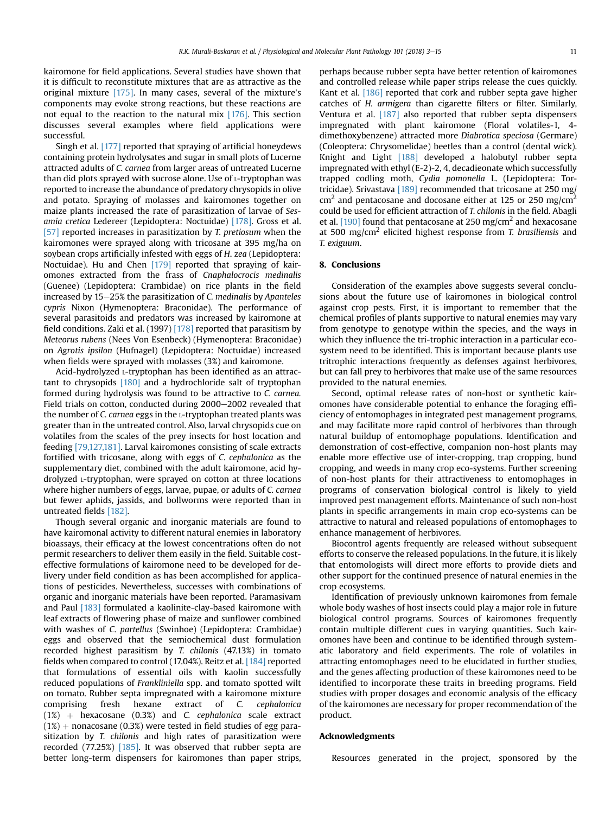kairomone for field applications. Several studies have shown that it is difficult to reconstitute mixtures that are as attractive as the original mixture [\[175\]](#page-12-0). In many cases, several of the mixture's components may evoke strong reactions, but these reactions are not equal to the reaction to the natural mix [\[176\]](#page-12-0). This section discusses several examples where field applications were successful.

Singh et al. [\[177\]](#page-12-0) reported that spraying of artificial honeydews containing protein hydrolysates and sugar in small plots of Lucerne attracted adults of C. carnea from larger areas of untreated Lucerne than did plots sprayed with sucrose alone. Use of L-tryptophan was reported to increase the abundance of predatory chrysopids in olive and potato. Spraying of molasses and kairomones together on maize plants increased the rate of parasitization of larvae of Sesamia cretica Ledereer (Lepidoptera: Noctuidae) [\[178\]](#page-12-0). Gross et al. [\[57\]](#page-10-0) reported increases in parasitization by T. pretiosum when the kairomones were sprayed along with tricosane at 395 mg/ha on soybean crops artificially infested with eggs of H. zea (Lepidoptera: Noctuidae). Hu and Chen [\[179\]](#page-12-0) reported that spraying of kairomones extracted from the frass of Cnaphalocrocis medinalis (Guenee) (Lepidoptera: Crambidae) on rice plants in the field increased by  $15-25\%$  the parasitization of C. medinalis by Apanteles cypris Nixon (Hymenoptera: Braconidae). The performance of several parasitoids and predators was increased by kairomone at field conditions. Zaki et al. (1997) [\[178\]](#page-12-0) reported that parasitism by Meteorus rubens (Nees Von Esenbeck) (Hymenoptera: Braconidae) on Agrotis ipsilon (Hufnagel) (Lepidoptera: Noctuidae) increased when fields were sprayed with molasses (3%) and kairomone.

Acid-hydrolyzed L-tryptophan has been identified as an attractant to chrysopids [\[180\]](#page-12-0) and a hydrochloride salt of tryptophan formed during hydrolysis was found to be attractive to C. carnea. Field trials on cotton, conducted during 2000-2002 revealed that the number of C. carnea eggs in the L-tryptophan treated plants was greater than in the untreated control. Also, larval chrysopids cue on volatiles from the scales of the prey insects for host location and feeding [\[79,127,181\]](#page-10-0). Larval kairomones consisting of scale extracts fortified with tricosane, along with eggs of C. cephalonica as the supplementary diet, combined with the adult kairomone, acid hydrolyzed L-tryptophan, were sprayed on cotton at three locations where higher numbers of eggs, larvae, pupae, or adults of C. carnea but fewer aphids, jassids, and bollworms were reported than in untreated fields [\[182\]](#page-12-0).

Though several organic and inorganic materials are found to have kairomonal activity to different natural enemies in laboratory bioassays, their efficacy at the lowest concentrations often do not permit researchers to deliver them easily in the field. Suitable costeffective formulations of kairomone need to be developed for delivery under field condition as has been accomplished for applications of pesticides. Nevertheless, successes with combinations of organic and inorganic materials have been reported. Paramasivam and Paul [\[183\]](#page-12-0) formulated a kaolinite-clay-based kairomone with leaf extracts of flowering phase of maize and sunflower combined with washes of C. partellus (Swinhoe) (Lepidoptera: Crambidae) eggs and observed that the semiochemical dust formulation recorded highest parasitism by T. chilonis (47.13%) in tomato fields when compared to control (17.04%). Reitz et al. [\[184\]](#page-12-0) reported that formulations of essential oils with kaolin successfully reduced populations of Frankliniella spp. and tomato spotted wilt on tomato. Rubber septa impregnated with a kairomone mixture comprising fresh hexane extract of C. cephalonica  $(1%)$  + hexacosane  $(0.3%)$  and C. cephalonica scale extract  $(1%)$  + nonacosane (0.3%) were tested in field studies of egg parasitization by T. chilonis and high rates of parasitization were recorded (77.25%) [\[185\]](#page-12-0). It was observed that rubber septa are better long-term dispensers for kairomones than paper strips,

perhaps because rubber septa have better retention of kairomones and controlled release while paper strips release the cues quickly. Kant et al. [\[186\]](#page-12-0) reported that cork and rubber septa gave higher catches of H. armigera than cigarette filters or filter. Similarly, Ventura et al. [\[187\]](#page-12-0) also reported that rubber septa dispensers impregnated with plant kairomone (Floral volatiles-1, 4 dimethoxybenzene) attracted more Diabrotica speciosa (Germare) (Coleoptera: Chrysomelidae) beetles than a control (dental wick). Knight and Light [\[188\]](#page-12-0) developed a halobutyl rubber septa impregnated with ethyl (E-2)-2, 4, decadieonate which successfully trapped codling moth, Cydia pomonella L. (Lepidoptera: Tor-tricidae). Srivastava [\[189\]](#page-12-0) recommended that tricosane at 250 mg/  $\text{cm}^2$  and pentacosane and docosane either at 125 or 250 mg/cm<sup>2</sup> could be used for efficient attraction of T. chilonis in the field. Abagli et al. [\[190\]](#page-12-0) found that pentacosane at 250 mg/cm<sup>2</sup> and hexacosane at 500 mg/cm<sup>2</sup> elicited highest response from T. brasiliensis and T. exiguum.

## 8. Conclusions

Consideration of the examples above suggests several conclusions about the future use of kairomones in biological control against crop pests. First, it is important to remember that the chemical profiles of plants supportive to natural enemies may vary from genotype to genotype within the species, and the ways in which they influence the tri-trophic interaction in a particular ecosystem need to be identified. This is important because plants use tritrophic interactions frequently as defenses against herbivores, but can fall prey to herbivores that make use of the same resources provided to the natural enemies.

Second, optimal release rates of non-host or synthetic kairomones have considerable potential to enhance the foraging efficiency of entomophages in integrated pest management programs, and may facilitate more rapid control of herbivores than through natural buildup of entomophage populations. Identification and demonstration of cost-effective, companion non-host plants may enable more effective use of inter-cropping, trap cropping, bund cropping, and weeds in many crop eco-systems. Further screening of non-host plants for their attractiveness to entomophages in programs of conservation biological control is likely to yield improved pest management efforts. Maintenance of such non-host plants in specific arrangements in main crop eco-systems can be attractive to natural and released populations of entomophages to enhance management of herbivores.

Biocontrol agents frequently are released without subsequent efforts to conserve the released populations. In the future, it is likely that entomologists will direct more efforts to provide diets and other support for the continued presence of natural enemies in the crop ecosystems.

Identification of previously unknown kairomones from female whole body washes of host insects could play a major role in future biological control programs. Sources of kairomones frequently contain multiple different cues in varying quantities. Such kairomones have been and continue to be identified through systematic laboratory and field experiments. The role of volatiles in attracting entomophages need to be elucidated in further studies, and the genes affecting production of these kairomones need to be identified to incorporate these traits in breeding programs. Field studies with proper dosages and economic analysis of the efficacy of the kairomones are necessary for proper recommendation of the product.

## Acknowledgments

Resources generated in the project, sponsored by the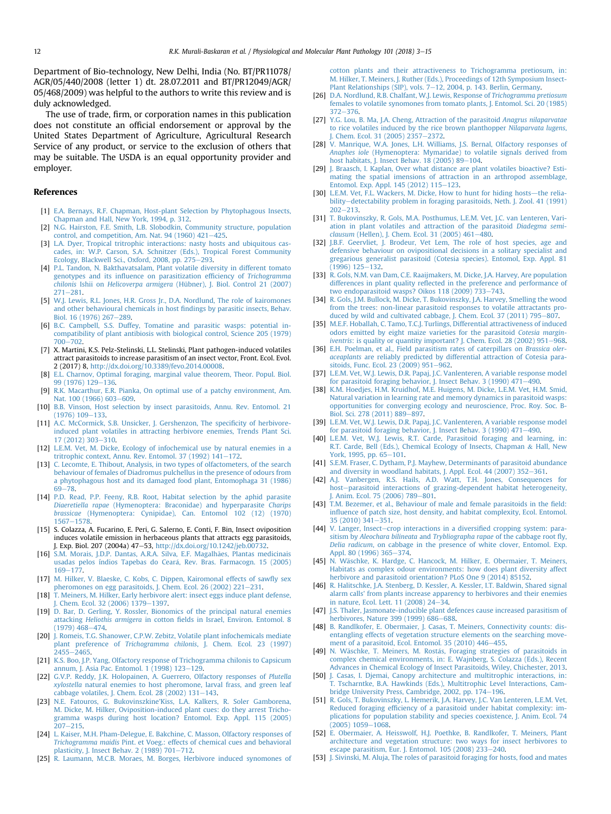<span id="page-9-0"></span>Department of Bio-technology, New Delhi, India (No. BT/PR11078/ AGR/05/440/2008 (letter 1) dt. 28.07.2011 and BT/PR12049/AGR/ 05/468/2009) was helpful to the authors to write this review and is duly acknowledged.

The use of trade, firm, or corporation names in this publication does not constitute an official endorsement or approval by the United States Department of Agriculture, Agricultural Research Service of any product, or service to the exclusion of others that may be suitable. The USDA is an equal opportunity provider and employer.

# References

- [1] [E.A. Bernays, R.F. Chapman, Host-plant Selection by Phytophagous Insects,](http://refhub.elsevier.com/S0885-5765(17)30149-2/sref1) [Chapman and Hall, New York, 1994, p. 312.](http://refhub.elsevier.com/S0885-5765(17)30149-2/sref1)
- [2] [N.G. Hairston, F.E. Smith, L.B. Slobodkin, Community structure, population](http://refhub.elsevier.com/S0885-5765(17)30149-2/sref2) control, and competition, Am. Nat. 94 (1960)  $421-425$  $421-425$ .
- [3] [L.A. Dyer, Tropical tritrophic interactions: nasty hosts and ubiquitous cas](http://refhub.elsevier.com/S0885-5765(17)30149-2/sref3)[cades, in: W.P. Carson, S.A. Schnitzer \(Eds.\), Tropical Forest Community](http://refhub.elsevier.com/S0885-5765(17)30149-2/sref3) [Ecology, Blackwell Sci., Oxford, 2008, pp. 275](http://refhub.elsevier.com/S0885-5765(17)30149-2/sref3)-[293](http://refhub.elsevier.com/S0885-5765(17)30149-2/sref3).
- [4] [P.L. Tandon, N. Bakthavatsalam, Plant volatile diversity in different tomato](http://refhub.elsevier.com/S0885-5765(17)30149-2/sref4) genotypes and its infl[uence on parasitization ef](http://refhub.elsevier.com/S0885-5765(17)30149-2/sref4)ficiency of Trichogramma chilonis Ishii on Helicoverpa armigera [\(Hübner\), J. Biol. Control 21 \(2007\)](http://refhub.elsevier.com/S0885-5765(17)30149-2/sref4)  $271 - 281$  $271 - 281$  $271 - 281$ .
- [5] [W.J. Lewis, R.L. Jones, H.R. Gross Jr., D.A. Nordlund, The role of kairomones](http://refhub.elsevier.com/S0885-5765(17)30149-2/sref5) [and other behavioural chemicals in host](http://refhub.elsevier.com/S0885-5765(17)30149-2/sref5) findings by parasitic insects, Behav. [Biol. 16 \(1976\) 267](http://refhub.elsevier.com/S0885-5765(17)30149-2/sref5)-[289](http://refhub.elsevier.com/S0885-5765(17)30149-2/sref5).
- [6] [B.C. Campbell, S.S. Duffey, Tomatine and parasitic wasps: potential in](http://refhub.elsevier.com/S0885-5765(17)30149-2/sref6)[compatibility of plant antibiosis with biological control, Science 205 \(1979\)](http://refhub.elsevier.com/S0885-5765(17)30149-2/sref6) [700](http://refhub.elsevier.com/S0885-5765(17)30149-2/sref6)-[702](http://refhub.elsevier.com/S0885-5765(17)30149-2/sref6).
- [7] X. Martini, K.S. Pelz-Stelinski, L.L. Stelinski, Plant pathogen-induced volatiles attract parasitoids to increase parasitism of an insect vector, Front. Ecol. Evol. 2 (2017) 8, [http://dx.doi.org/10.3389/fevo.2014.00008.](http://dx.doi.org/10.3389/fevo.2014.00008)
- [8] [E.L. Charnov, Optimal foraging, marginal value theorem, Theor. Popul. Biol.](http://refhub.elsevier.com/S0885-5765(17)30149-2/sref8) [99 \(1976\) 129](http://refhub.elsevier.com/S0885-5765(17)30149-2/sref8)-[136](http://refhub.elsevier.com/S0885-5765(17)30149-2/sref8).
- [9] [R.K. Macarthur, E.R. Pianka, On optimal use of a patchy environment, Am.](http://refhub.elsevier.com/S0885-5765(17)30149-2/sref9) [Nat. 100 \(1966\) 603](http://refhub.elsevier.com/S0885-5765(17)30149-2/sref9)-[609](http://refhub.elsevier.com/S0885-5765(17)30149-2/sref9).
- [10] [B.B. Vinson, Host selection by insect parasitoids, Annu. Rev. Entomol. 21](http://refhub.elsevier.com/S0885-5765(17)30149-2/sref10)  $(1976)$  109 $-133$ .
- [11] [A.C. McCormick, S.B. Unsicker, J. Gershenzon, The speci](http://refhub.elsevier.com/S0885-5765(17)30149-2/sref11)ficity of herbivore[induced plant volatiles in attracting herbivore enemies, Trends Plant Sci.](http://refhub.elsevier.com/S0885-5765(17)30149-2/sref11) [17 \(2012\) 303](http://refhub.elsevier.com/S0885-5765(17)30149-2/sref11)-[310](http://refhub.elsevier.com/S0885-5765(17)30149-2/sref11).
- [12] [L.E.M. Vet, M. Dicke, Ecology of infochemical use by natural enemies in a](http://refhub.elsevier.com/S0885-5765(17)30149-2/sref12) tritrophic context, Annu. Rev. Entomol. 37 (1992)  $141-172$  $141-172$ .
- [13] [C. Lecomte, E. Thibout, Analysis, in two types of olfactometers, of the search](http://refhub.elsevier.com/S0885-5765(17)30149-2/sref13) [behaviour of females of Diadromus pulchellus in the presence of odours from](http://refhub.elsevier.com/S0885-5765(17)30149-2/sref13) [a phytophagous host and its damaged food plant, Entomophaga 31 \(1986\)](http://refhub.elsevier.com/S0885-5765(17)30149-2/sref13)  $69 - 78$  $69 - 78$
- [14] [P.D. Read, P.P. Feeny, R.B. Root, Habitat selection by the aphid parasite](http://refhub.elsevier.com/S0885-5765(17)30149-2/sref14) Diaeretiella rapae [\(Hymenoptera: Braconidae\) and hyperparasite](http://refhub.elsevier.com/S0885-5765(17)30149-2/sref14) Charips brassicae [\(Hymenoptera: Cynipidae\), Can. Entomol 102 \(12\) \(1970\)](http://refhub.elsevier.com/S0885-5765(17)30149-2/sref14) [1567](http://refhub.elsevier.com/S0885-5765(17)30149-2/sref14)-[1578.](http://refhub.elsevier.com/S0885-5765(17)30149-2/sref14)
- [15] S. Colazza, A. Fucarino, E. Peri, G. Salerno, E. Conti, F. Bin, Insect oviposition induces volatile emission in herbaceous plants that attracts egg parasitoids, J. Exp. Biol. 207 (2004a) 47-53, <http://dx.doi.org/10.1242/jeb.00732>.
- [16] [S.M. Morais, J.D.P. Dantas, A.R.A. Silva, E.F. Magalh](http://refhub.elsevier.com/S0885-5765(17)30149-2/sref16)ães, Plantas medicinais [usadas pelos índios Tapebas do Cear](http://refhub.elsevier.com/S0885-5765(17)30149-2/sref16)á[, Rev. Bras. Farmacogn. 15 \(2005\)](http://refhub.elsevier.com/S0885-5765(17)30149-2/sref16) [169](http://refhub.elsevier.com/S0885-5765(17)30149-2/sref16)-[177](http://refhub.elsevier.com/S0885-5765(17)30149-2/sref16).
- [17] [M. Hilker, V. Blaeske, C. Kobs, C. Dippen, Kairomonal effects of saw](http://refhub.elsevier.com/S0885-5765(17)30149-2/sref17)fly sex [pheromones on egg parasitoids, J. Chem. Ecol. 26 \(2002\) 221](http://refhub.elsevier.com/S0885-5765(17)30149-2/sref17)-[231](http://refhub.elsevier.com/S0885-5765(17)30149-2/sref17).
- [18] [T. Meiners, M. Hilker, Early herbivore alert: insect eggs induce plant defense,](http://refhub.elsevier.com/S0885-5765(17)30149-2/sref18) I. Chem. Ecol. 32 (2006) 1379-[1397](http://refhub.elsevier.com/S0885-5765(17)30149-2/sref18).
- [19] [D. Bar, D. Gerling, Y. Rossler, Bionomics of the principal natural enemies](http://refhub.elsevier.com/S0885-5765(17)30149-2/sref19) attacking Heliothis armigera in cotton fi[elds in Israel, Environ. Entomol. 8](http://refhub.elsevier.com/S0885-5765(17)30149-2/sref19)  $(1979)$  468-474
- [20] [J. Romeis, T.G. Shanower, C.P.W. Zebitz, Volatile plant infochemicals mediate](http://refhub.elsevier.com/S0885-5765(17)30149-2/sref20) plant preference of Trichogramma chilonis[, J. Chem. Ecol. 23 \(1997\)](http://refhub.elsevier.com/S0885-5765(17)30149-2/sref20) [2455](http://refhub.elsevier.com/S0885-5765(17)30149-2/sref20)-2465
- [21] [K.S. Boo, J.P. Yang, Olfactory response of Trichogramma chilonis to Capsicum](http://refhub.elsevier.com/S0885-5765(17)30149-2/sref21) [annum, J. Asia Pac. Entomol. 1 \(1998\) 123](http://refhub.elsevier.com/S0885-5765(17)30149-2/sref21)-[129.](http://refhub.elsevier.com/S0885-5765(17)30149-2/sref21)
- [22] [G.V.P. Reddy, J.K. Holopainen, A. Guerrero, Olfactory responses of](http://refhub.elsevier.com/S0885-5765(17)30149-2/sref22) Plutella xylostella [natural enemies to host pheromone, larval frass, and green leaf](http://refhub.elsevier.com/S0885-5765(17)30149-2/sref22) [cabbage volatiles, J. Chem. Ecol. 28 \(2002\) 131](http://refhub.elsevier.com/S0885-5765(17)30149-2/sref22)-[143](http://refhub.elsevier.com/S0885-5765(17)30149-2/sref22).
- [23] N.E. Fatouros, G. Bukovinszkine'[Kiss, L.A. Kalkers, R. Soler Gamborena,](http://refhub.elsevier.com/S0885-5765(17)30149-2/sref23) [M. Dicke, M. Hilker, Oviposition-induced plant cues: do they arrest Tricho](http://refhub.elsevier.com/S0885-5765(17)30149-2/sref23)[gramma wasps during host location? Entomol. Exp. Appl. 115 \(2005\)](http://refhub.elsevier.com/S0885-5765(17)30149-2/sref23)  $207 - 215$  $207 - 215$  $207 - 215$ .
- [24] [L. Kaiser, M.H. Pham-Delegue, E. Bakchine, C. Masson, Olfactory responses of](http://refhub.elsevier.com/S0885-5765(17)30149-2/sref24) Trichogramma maidis [Pint. et Voeg.: effects of chemical cues and behavioral](http://refhub.elsevier.com/S0885-5765(17)30149-2/sref24) plasticity, J. Insect Behav. 2  $(1989)$  701–[712.](http://refhub.elsevier.com/S0885-5765(17)30149-2/sref24)
- [25] [R. Laumann, M.C.B. Moraes, M. Borges, Herbivore induced synomones of](http://refhub.elsevier.com/S0885-5765(17)30149-2/sref25)

[cotton plants and their attractiveness to Trichogramma pretiosum, in:](http://refhub.elsevier.com/S0885-5765(17)30149-2/sref25) [M. Hilker, T. Meiners, J. Ruther \(Eds.\), Proceedings of 12th Symposium Insect-](http://refhub.elsevier.com/S0885-5765(17)30149-2/sref25)Plant Relationships (SIP), vols.  $7-12$ , 2004, p. 143. Berlin, Germany.

- [26] [D.A. Nordlund, R.B. Chalfant, W.J. Lewis, Response of](http://refhub.elsevier.com/S0885-5765(17)30149-2/sref26) Trichogramma pretiosum [females to volatile synomones from tomato plants, J. Entomol. Sci. 20 \(1985\)](http://refhub.elsevier.com/S0885-5765(17)30149-2/sref26)  $372 - 376$  $372 - 376$  $372 - 376$
- [27] [Y.G. Lou, B. Ma, J.A. Cheng, Attraction of the parasitoid](http://refhub.elsevier.com/S0885-5765(17)30149-2/sref27) Anagrus nilaparvatae [to rice volatiles induced by the rice brown planthopper](http://refhub.elsevier.com/S0885-5765(17)30149-2/sref27) Nilaparvata lugens, [J. Chem. Ecol. 31 \(2005\) 2357](http://refhub.elsevier.com/S0885-5765(17)30149-2/sref27)-[2372](http://refhub.elsevier.com/S0885-5765(17)30149-2/sref27).
- [28] [V. Manrique, W.A. Jones, L.H. Williams, J.S. Bernal, Olfactory responses of](http://refhub.elsevier.com/S0885-5765(17)30149-2/sref28) Anaphes iole [\(Hymenoptera: Mymaridae\) to volatile signals derived from](http://refhub.elsevier.com/S0885-5765(17)30149-2/sref28) host habitats, J. Insect Behav.  $18$  (2005) 89-[104.](http://refhub.elsevier.com/S0885-5765(17)30149-2/sref28)
- [29] [J. Braasch, I. Kaplan, Over what distance are plant volatiles bioactive? Esti](http://refhub.elsevier.com/S0885-5765(17)30149-2/sref29)[mating the spatial imensions of attraction in an arthropod assemblage,](http://refhub.elsevier.com/S0885-5765(17)30149-2/sref29) [Entomol. Exp. Appl. 145 \(2012\) 115](http://refhub.elsevier.com/S0885-5765(17)30149-2/sref29)-[123](http://refhub.elsevier.com/S0885-5765(17)30149-2/sref29).
- [30] [L.E.M. Vet, F.L. Wackers, M. Dicke, How to hunt for hiding hosts](http://refhub.elsevier.com/S0885-5765(17)30149-2/sref30)—[the relia](http://refhub.elsevier.com/S0885-5765(17)30149-2/sref30)[bility](http://refhub.elsevier.com/S0885-5765(17)30149-2/sref30)-[detectability problem in foraging parasitoids, Neth. J. Zool. 41 \(1991\)](http://refhub.elsevier.com/S0885-5765(17)30149-2/sref30)  $202 - 213$  $202 - 213$  $202 - 213$ .
- [31] [T. Bukovinszky, R. Gols, M.A. Posthumus, L.E.M. Vet, J.C. van Lenteren, Vari](http://refhub.elsevier.com/S0885-5765(17)30149-2/sref31)[ation in plant volatiles and attraction of the parasitoid](http://refhub.elsevier.com/S0885-5765(17)30149-2/sref31) Diadegma semi-clausum [\(Hellen\), J. Chem. Ecol. 31 \(2005\) 461](http://refhub.elsevier.com/S0885-5765(17)30149-2/sref31)-[480](http://refhub.elsevier.com/S0885-5765(17)30149-2/sref31).
- [32] [J.B.F. Geervliet, J. Brodeur, Vet Lem, The role of host species, age and](http://refhub.elsevier.com/S0885-5765(17)30149-2/sref32) [defensive behaviour on ovipositional decisions in a solitary specialist and](http://refhub.elsevier.com/S0885-5765(17)30149-2/sref32) [gregarious generalist parasitoid \(Cotesia species\). Entomol, Exp. Appl. 81](http://refhub.elsevier.com/S0885-5765(17)30149-2/sref32)  $(1996)$  125-[132.](http://refhub.elsevier.com/S0885-5765(17)30149-2/sref32)
- [33] [R. Gols, N.M. van Dam, C.E. Raaijmakers, M. Dicke, J.A. Harvey, Are population](http://refhub.elsevier.com/S0885-5765(17)30149-2/sref33) differences in plant quality refl[ected in the preference and performance of](http://refhub.elsevier.com/S0885-5765(17)30149-2/sref33) two endoparasitoid wasps? Oikos  $118$  (2009) 733-[743](http://refhub.elsevier.com/S0885-5765(17)30149-2/sref33).
- [34] [R. Gols, J.M. Bullock, M. Dicke, T. Bukovinszky, J.A. Harvey, Smelling the wood](http://refhub.elsevier.com/S0885-5765(17)30149-2/sref34) [from the trees: non-linear parasitoid responses to volatile attractants pro](http://refhub.elsevier.com/S0885-5765(17)30149-2/sref34)[duced by wild and cultivated cabbage, J. Chem. Ecol. 37 \(2011\) 795](http://refhub.elsevier.com/S0885-5765(17)30149-2/sref34)-[807](http://refhub.elsevier.com/S0885-5765(17)30149-2/sref34).
- [35] [M.E.F. Hoballah, C. Tamo, T.C.J. Turlings, Differential attractiveness of induced](http://refhub.elsevier.com/S0885-5765(17)30149-2/sref35) [odors emitted by eight maize varieties for the parasitoid](http://refhub.elsevier.com/S0885-5765(17)30149-2/sref35) Cotesia margin-iventris[: is quality or quantity important? J. Chem. Ecol. 28 \(2002\) 951](http://refhub.elsevier.com/S0885-5765(17)30149-2/sref35)-[968](http://refhub.elsevier.com/S0885-5765(17)30149-2/sref35).
- [36] [E.H. Poelman, et al., Field parasitism rates of caterpillars on](http://refhub.elsevier.com/S0885-5765(17)30149-2/sref36) Brassica oleraceaplants [are reliably predicted by differential attraction of Cotesia para](http://refhub.elsevier.com/S0885-5765(17)30149-2/sref36)[sitoids, Func. Ecol. 23 \(2009\) 951](http://refhub.elsevier.com/S0885-5765(17)30149-2/sref36)-[962](http://refhub.elsevier.com/S0885-5765(17)30149-2/sref36).
- [37] [L.E.M. Vet, W.J. Lewis, D.R. Papaj, J.C. Vanlenteren, A variable response model](http://refhub.elsevier.com/S0885-5765(17)30149-2/sref37) [for parasitoid foraging behavior, J. Insect Behav. 3 \(1990\) 471](http://refhub.elsevier.com/S0885-5765(17)30149-2/sref37)-[490](http://refhub.elsevier.com/S0885-5765(17)30149-2/sref37).
- [38] [K.M. Hoedjes, H.M. Kruidhof, M.E. Huigens, M. Dicke, L.E.M. Vet, H.M. Smid,](http://refhub.elsevier.com/S0885-5765(17)30149-2/sref38) [Natural variation in learning rate and memory dynamics in parasitoid wasps:](http://refhub.elsevier.com/S0885-5765(17)30149-2/sref38) [opportunities for converging ecology and neuroscience, Proc. Roy. Soc. B-](http://refhub.elsevier.com/S0885-5765(17)30149-2/sref38)[Biol. Sci. 278 \(2011\) 889](http://refhub.elsevier.com/S0885-5765(17)30149-2/sref38)-[897.](http://refhub.elsevier.com/S0885-5765(17)30149-2/sref38)
- [39] [L.E.M. Vet, W.J. Lewis, D.R. Papaj, J.C. Vanlenteren, A variable response model](http://refhub.elsevier.com/S0885-5765(17)30149-2/sref39) for parasitoid foraging behavior, J. Insect Behav. 3 (1990)  $471-490$  $471-490$ .
- [40] [L.E.M. Vet, W.J. Lewis, R.T. Carde, Parasitoid foraging and learning, in:](http://refhub.elsevier.com/S0885-5765(17)30149-2/sref40) [R.T. Carde, Bell \(Eds.\), Chemical Ecology of Insects, Chapman](http://refhub.elsevier.com/S0885-5765(17)30149-2/sref40) & [Hall, New](http://refhub.elsevier.com/S0885-5765(17)30149-2/sref40) [York, 1995, pp. 65](http://refhub.elsevier.com/S0885-5765(17)30149-2/sref40)-[101.](http://refhub.elsevier.com/S0885-5765(17)30149-2/sref40)
- [41] [S.E.M. Fraser, C. Dytham, P.J. Mayhew, Determinants of parasitoid abundance](http://refhub.elsevier.com/S0885-5765(17)30149-2/sref41) and diversity in woodland habitats, J. Appl. Ecol.  $44$  (2007) 352-[361](http://refhub.elsevier.com/S0885-5765(17)30149-2/sref41).
- [42] [A.J. Vanbergen, R.S. Hails, A.D. Watt, T.H. Jones, Consequences for](http://refhub.elsevier.com/S0885-5765(17)30149-2/sref42) [host](http://refhub.elsevier.com/S0885-5765(17)30149-2/sref42)-[parasitoid interactions of grazing-dependent habitat heterogeneity,](http://refhub.elsevier.com/S0885-5765(17)30149-2/sref42) [J. Anim. Ecol. 75 \(2006\) 789](http://refhub.elsevier.com/S0885-5765(17)30149-2/sref42)-[801](http://refhub.elsevier.com/S0885-5765(17)30149-2/sref42).
- [43] [T.M. Bezemer, et al., Behaviour of male and female parasitoids in the](http://refhub.elsevier.com/S0885-5765(17)30149-2/sref43) field: infl[uence of patch size, host density, and habitat complexity, Ecol. Entomol.](http://refhub.elsevier.com/S0885-5765(17)30149-2/sref43)  $35(2010)341-351.$  $35(2010)341-351.$  $35(2010)341-351.$
- [44] [V. Langer, Insect](http://refhub.elsevier.com/S0885-5765(17)30149-2/sref44)-[crop interactions in a diversi](http://refhub.elsevier.com/S0885-5765(17)30149-2/sref44)fied cropping system: parasitism by Aleochara bilineata and [Trybliographa rapae](http://refhub.elsevier.com/S0885-5765(17)30149-2/sref44) of the cabbage root fly, Delia radicum[, on cabbage in the presence of white clover, Entomol. Exp.](http://refhub.elsevier.com/S0885-5765(17)30149-2/sref44) [Appl. 80 \(1996\) 365](http://refhub.elsevier.com/S0885-5765(17)30149-2/sref44)-[374](http://refhub.elsevier.com/S0885-5765(17)30149-2/sref44).
- [45] [N. W](http://refhub.elsevier.com/S0885-5765(17)30149-2/sref45)ä[schke, K. Hardge, C. Hancock, M. Hilker, E. Obermaier, T. Meiners,](http://refhub.elsevier.com/S0885-5765(17)30149-2/sref45) [Habitats as complex odour environments: how does plant diversity affect](http://refhub.elsevier.com/S0885-5765(17)30149-2/sref45) [herbivore and parasitoid orientation? PLoS One 9 \(2014\) 85152.](http://refhub.elsevier.com/S0885-5765(17)30149-2/sref45)
- [46] [R. Halitschke, J.A. Stenberg, D. Kessler, A. Kessler, I.T. Baldwin, Shared signal](http://refhub.elsevier.com/S0885-5765(17)30149-2/sref46) [alarm calls' from plants increase apparency to herbivores and their enemies](http://refhub.elsevier.com/S0885-5765(17)30149-2/sref46) [in nature, Ecol. Lett. 11 \(2008\) 24](http://refhub.elsevier.com/S0885-5765(17)30149-2/sref46)-[34](http://refhub.elsevier.com/S0885-5765(17)30149-2/sref46).
- [47] [J.S. Thaler, Jasmonate-inducible plant defences cause increased parasitism of](http://refhub.elsevier.com/S0885-5765(17)30149-2/sref47) [herbivores, Nature 399 \(1999\) 686](http://refhub.elsevier.com/S0885-5765(17)30149-2/sref47)-[688](http://refhub.elsevier.com/S0885-5765(17)30149-2/sref47).
- [48] [B. Randlkofer, E. Obermaier, J. Casas, T. Meiners, Connectivity counts: dis](http://refhub.elsevier.com/S0885-5765(17)30149-2/sref48)[entangling effects of vegetation structure elements on the searching move](http://refhub.elsevier.com/S0885-5765(17)30149-2/sref48)[ment of a parasitoid, Ecol. Entomol. 35 \(2010\) 446](http://refhub.elsevier.com/S0885-5765(17)30149-2/sref48)-[455.](http://refhub.elsevier.com/S0885-5765(17)30149-2/sref48)
- [49] [N. W](http://refhub.elsevier.com/S0885-5765(17)30149-2/sref49)äschke, T. Meiners, M. Rostás, Foraging strategies of parasitoids in [complex chemical environments, in: E. Wajnberg, S. Colazza \(Eds.\), Recent](http://refhub.elsevier.com/S0885-5765(17)30149-2/sref49) [Advances in Chemical Ecology of Insect Parasitoids, Wiley, Chichester, 2013](http://refhub.elsevier.com/S0885-5765(17)30149-2/sref49).
- [50] [J. Casas, I. Djemai, Canopy architecture and multitrophic interactions, in:](http://refhub.elsevier.com/S0885-5765(17)30149-2/sref50) [T. Tscharntke, B.A. Hawkinds \(Eds.\), Multitrophic Level Interactions, Cam](http://refhub.elsevier.com/S0885-5765(17)30149-2/sref50)[bridge University Press, Cambridge, 2002, pp. 174](http://refhub.elsevier.com/S0885-5765(17)30149-2/sref50)-[196.](http://refhub.elsevier.com/S0885-5765(17)30149-2/sref50)
- [51] [R. Gols, T. Bukovinszky, L. Hemerik, J.A. Harvey, J.C. Van Lenteren, L.E.M. Vet,](http://refhub.elsevier.com/S0885-5765(17)30149-2/sref51) Reduced foraging effi[ciency of a parasitoid under habitat complexity: im](http://refhub.elsevier.com/S0885-5765(17)30149-2/sref51)[plications for population stability and species coexistence, J. Anim. Ecol. 74](http://refhub.elsevier.com/S0885-5765(17)30149-2/sref51)  $(2005)$  1059-[1068](http://refhub.elsevier.com/S0885-5765(17)30149-2/sref51).
- [52] [E. Obermaier, A. Heisswolf, H.J. Poethke, B. Randlkofer, T. Meiners, Plant](http://refhub.elsevier.com/S0885-5765(17)30149-2/sref52) [architecture and vegetation structure: two ways for insect herbivores to](http://refhub.elsevier.com/S0885-5765(17)30149-2/sref52) escape parasitism, Eur. J. Entomol.  $105$  (2008)  $233-240$  $233-240$ .
- [53] [J. Sivinski, M. Aluja, The roles of parasitoid foraging for hosts, food and mates](http://refhub.elsevier.com/S0885-5765(17)30149-2/sref53)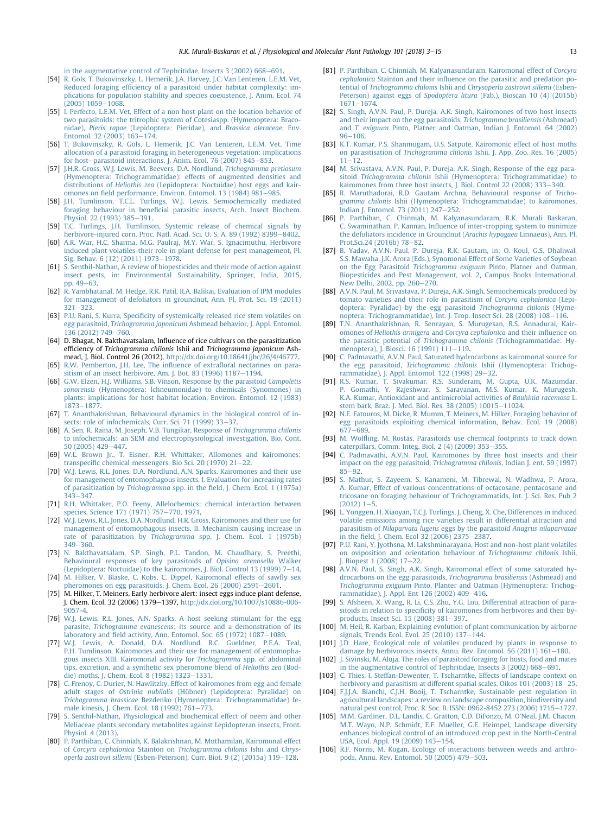<span id="page-10-0"></span>in the augmentative control of Tephritidae, Insects  $3(2002)$  668-[691.](http://refhub.elsevier.com/S0885-5765(17)30149-2/sref53)

- [54] [R. Gols, T. Bukovinszky, L. Hemerik, J.A. Harvey, J.C. Van Lenteren, L.E.M. Vet,](http://refhub.elsevier.com/S0885-5765(17)30149-2/sref54) Reduced foraging effi[ciency of a parasitoid under habitat complexity: im](http://refhub.elsevier.com/S0885-5765(17)30149-2/sref54)[plications for population stability and species coexistence, J. Anim. Ecol. 74](http://refhub.elsevier.com/S0885-5765(17)30149-2/sref54)  $(2005)$  1059 $-1068$
- [55] [I. Perfecto, L.E.M. Vet, Effect of a non host plant on the location behavior of](http://refhub.elsevier.com/S0885-5765(17)30149-2/sref55) [two parasitoids: the tritrophic system of Cotesiaspp. \(Hymenoptera: Braco](http://refhub.elsevier.com/S0885-5765(17)30149-2/sref55)nidae), Pieris rapae [\(Lepidoptera: Pieridae\), and](http://refhub.elsevier.com/S0885-5765(17)30149-2/sref55) Brassica oleraceae, Env. Entomol. 32 (2003)  $163 - 174$  $163 - 174$ .
- [56] [T. Bukovinszky, R. Gols, L. Hemerik, J.C. Van Lenteren, L.E.M. Vet, Time](http://refhub.elsevier.com/S0885-5765(17)30149-2/sref56) [allocation of a parasitoid foraging in heterogeneous vegetation: implications](http://refhub.elsevier.com/S0885-5765(17)30149-2/sref56) [for host](http://refhub.elsevier.com/S0885-5765(17)30149-2/sref56)-[parasitoid interactions, J. Anim. Ecol. 76 \(2007\) 845](http://refhub.elsevier.com/S0885-5765(17)30149-2/sref56)-[853](http://refhub.elsevier.com/S0885-5765(17)30149-2/sref56).
- [57] [J.H.R. Gross, W.J. Lewis, M. Beevers, D.A. Nordlund,](http://refhub.elsevier.com/S0885-5765(17)30149-2/sref57) Trichogramma pretiosum [\(Hymenoptera: Trichogrammatidae\): effects of augmented densities and](http://refhub.elsevier.com/S0885-5765(17)30149-2/sref57) distributions of Heliothis zea [\(Lepidoptera: Noctuidae\) host eggs and kair](http://refhub.elsevier.com/S0885-5765(17)30149-2/sref57)omones on fi[eld performance, Environ. Entomol. 13 \(1984\) 981](http://refhub.elsevier.com/S0885-5765(17)30149-2/sref57)-[985.](http://refhub.elsevier.com/S0885-5765(17)30149-2/sref57)
- [58] [J.H. Tumlinson, T.C.L. Turlings, W.J. Lewis, Semiochemically mediated](http://refhub.elsevier.com/S0885-5765(17)30149-2/sref58) foraging behaviour in benefi[cial parasitic insects, Arch. Insect Biochem.](http://refhub.elsevier.com/S0885-5765(17)30149-2/sref58) [Physiol. 22 \(1993\) 385](http://refhub.elsevier.com/S0885-5765(17)30149-2/sref58)–[391.](http://refhub.elsevier.com/S0885-5765(17)30149-2/sref58)<br>[59] [T.C. Turlings, J.H. Tumlinson, Systemic release of chemical signals by](http://refhub.elsevier.com/S0885-5765(17)30149-2/sref59)
- [herbivore-injured corn, Proc. Natl. Acad. Sci. U. S. A. 89 \(1992\) 8399](http://refhub.elsevier.com/S0885-5765(17)30149-2/sref59)-[8402.](http://refhub.elsevier.com/S0885-5765(17)30149-2/sref59)
- [60] [A.R. War, H.C. Sharma, M.G. Paulraj, M.Y. War, S. Ignacimuthu, Herbivore](http://refhub.elsevier.com/S0885-5765(17)30149-2/sref60) [induced plant volatiles-their role in plant defense for pest management, Pl.](http://refhub.elsevier.com/S0885-5765(17)30149-2/sref60) [Sig. Behav. 6 \(12\) \(2011\) 1973](http://refhub.elsevier.com/S0885-5765(17)30149-2/sref60)-[1978](http://refhub.elsevier.com/S0885-5765(17)30149-2/sref60).
- [61] [S. Senthil-Nathan, A review of biopesticides and their mode of action against](http://refhub.elsevier.com/S0885-5765(17)30149-2/sref61) [insect pests, in: Environmental Sustainability, Springer, India, 2015,](http://refhub.elsevier.com/S0885-5765(17)30149-2/sref61) pp.  $49-63$  $49-63$ .
- [62] [R. Yambhatanal, M. Hedge, R.K. Patil, R.A. Balikai, Evaluation of IPM modules](http://refhub.elsevier.com/S0885-5765(17)30149-2/sref62) [for management of defoliators in groundnut, Ann. Pl. Prot. Sci. 19 \(2011\)](http://refhub.elsevier.com/S0885-5765(17)30149-2/sref62)  $321 - 323$  $321 - 323$  $321 - 323$
- [63] P.U. Rani, S. Kurra, Specifi[city of systemically released rice stem volatiles on](http://refhub.elsevier.com/S0885-5765(17)30149-2/sref63) egg parasitoid, Trichogramma japonicum [Ashmead behavior, J. Appl. Entomol.](http://refhub.elsevier.com/S0885-5765(17)30149-2/sref63) [136 \(2012\) 749](http://refhub.elsevier.com/S0885-5765(17)30149-2/sref63)-760
- [64] D. Bhagat, N. Bakthavatsalam, Influence of rice cultivars on the parasitization efficiency of Trichogramma chilonis Ishii and Trichogramma japonicum Ashmead, J. Biol. Control 26 (2012), [http://dx.doi.org/10.18641/jbc/26/4/46777.](http://dx.doi.org/10.18641/jbc/26/4/46777)
- [65] [R.W. Pemberton, J.H. Lee, The in](http://refhub.elsevier.com/S0885-5765(17)30149-2/sref65)fluence of extrafloral nectarines on para[sitism of an insect herbivore, Am. J. Bot. 83 \(1996\) 1187](http://refhub.elsevier.com/S0885-5765(17)30149-2/sref65)-[1194.](http://refhub.elsevier.com/S0885-5765(17)30149-2/sref65)
- [66] [G.W. Elzen, H.J. Williams, S.B. Vinson, Response by the parasitoid](http://refhub.elsevier.com/S0885-5765(17)30149-2/sref66) Campoletis sonorensis [\(Hymenoptera: lchneumonidae\) to chemicals \(Synomones\) in](http://refhub.elsevier.com/S0885-5765(17)30149-2/sref66) [plants: implications for host habitat location, Environ. Entomol. 12 \(1983\)](http://refhub.elsevier.com/S0885-5765(17)30149-2/sref66) [1873](http://refhub.elsevier.com/S0885-5765(17)30149-2/sref66)-1877
- [67] [T. Ananthakrishnan, Behavioural dynamics in the biological control of in](http://refhub.elsevier.com/S0885-5765(17)30149-2/sref67)[sects: role of infochemicals, Curr. Sci. 71 \(1999\) 33](http://refhub.elsevier.com/S0885-5765(17)30149-2/sref67)-[37.](http://refhub.elsevier.com/S0885-5765(17)30149-2/sref67)
- [68] [A. Sen, R. Raina, M. Joseph, V.B. Tungikar, Response of](http://refhub.elsevier.com/S0885-5765(17)30149-2/sref68) Trichogramma chilonis [to infochemicals: an SEM and electrophysiological investigation, Bio. Cont.](http://refhub.elsevier.com/S0885-5765(17)30149-2/sref68) [50 \(2005\) 429](http://refhub.elsevier.com/S0885-5765(17)30149-2/sref68)-[447](http://refhub.elsevier.com/S0885-5765(17)30149-2/sref68).
- [69] [W.L. Brown Jr., T. Eisner, R.H. Whittaker, Allomones and kairomones:](http://refhub.elsevier.com/S0885-5765(17)30149-2/sref69) transpecifi[c chemical messengers, Bio Sci. 20 \(1970\) 21](http://refhub.elsevier.com/S0885-5765(17)30149-2/sref69)-[22](http://refhub.elsevier.com/S0885-5765(17)30149-2/sref69).
- [70] [W.J. Lewis, R.L. Jones, D.A. Nordlund, A.N. Sparks, Kairomones and their use](http://refhub.elsevier.com/S0885-5765(17)30149-2/sref70) [for management of entomophagous insects. I. Evaluation for increasing rates](http://refhub.elsevier.com/S0885-5765(17)30149-2/sref70) of parasitization by Trichogramma spp. in the fi[eld, J. Chem. Ecol. 1 \(1975a\)](http://refhub.elsevier.com/S0885-5765(17)30149-2/sref70)  $343 - 347$  $343 - 347$  $343 - 347$ .
- [71] [R.H. Whittaker, P.O. Feeny, Allelochemics: chemical interaction between](http://refhub.elsevier.com/S0885-5765(17)30149-2/sref71) [species, Science 171 \(1971\) 757](http://refhub.elsevier.com/S0885-5765(17)30149-2/sref71)-[770, 1971.](http://refhub.elsevier.com/S0885-5765(17)30149-2/sref71)
- [72] [W.J. Lewis, R.L. Jones, D.A. Nordlund, H.R. Gross, Kairomones and their use for](http://refhub.elsevier.com/S0885-5765(17)30149-2/sref72) [management of entomophagous insects. II. Mechanism causing increase in](http://refhub.elsevier.com/S0885-5765(17)30149-2/sref72) rate of parasitization by Trichogramma [spp, J. Chem. Ecol. 1 \(1975b\)](http://refhub.elsevier.com/S0885-5765(17)30149-2/sref72)  $349 - 360$  $349 - 360$  $349 - 360$ .
- [73] [N. Bakthavatsalam, S.P. Singh, P.L. Tandon, M. Chaudhary, S. Preethi,](http://refhub.elsevier.com/S0885-5765(17)30149-2/sref73) [Behavioural responses of key parasitoids of](http://refhub.elsevier.com/S0885-5765(17)30149-2/sref73) Opisina arenosella Walker (Lepidoptera: Noctuidae) to the kairomones, J. Biol. Control 13 (1999)  $7-14$  $7-14$ .
- [74] [M. Hilker, V. Bl](http://refhub.elsevier.com/S0885-5765(17)30149-2/sref74)ä[ske, C. Kobs, C. Dippel, Kairomonal effects of saw](http://refhub.elsevier.com/S0885-5765(17)30149-2/sref74)fly sex heromones on egg parasitoids, J. Chem. Ecol. 26 (2000) 2591-[2601.](http://refhub.elsevier.com/S0885-5765(17)30149-2/sref74)
- [75] M. Hilker, T. Meiners, Early herbivore alert: insect eggs induce plant defense, J. Chem. Ecol. 32 (2006) 1379-1397, [http://dx.doi.org/10.1007/s10886-006-](http://dx.doi.org/10.1007/s10886-006-9057-4) [9057-4](http://dx.doi.org/10.1007/s10886-006-9057-4).
- [76] [W.J. Lewis, R.L. Jones, A.N. Sparks, A host seeking stimulant for the egg](http://refhub.elsevier.com/S0885-5765(17)30149-2/sref76) parasite, Trichogramma evanescens[: its source and a demonstration of its](http://refhub.elsevier.com/S0885-5765(17)30149-2/sref76) laboratory and fi[eld activity, Ann. Entomol. Soc. 65 \(1972\) 1087](http://refhub.elsevier.com/S0885-5765(17)30149-2/sref76)-[1089.](http://refhub.elsevier.com/S0885-5765(17)30149-2/sref76)
- [77] [W.J. Lewis, A. Donald, D.A. Nordlund, R.C. Gueldner, P.E.A. Teal,](http://refhub.elsevier.com/S0885-5765(17)30149-2/sref77) [P.H. Tumlinson, Kairomones and their use for management of entomopha](http://refhub.elsevier.com/S0885-5765(17)30149-2/sref77)[gous insects XIII. Kairomonal activity for](http://refhub.elsevier.com/S0885-5765(17)30149-2/sref77) Trichogramma spp. of abdominal [tips, excretion, and a synthetic sex pheromone blend of](http://refhub.elsevier.com/S0885-5765(17)30149-2/sref77) Heliothis zea (Bod[die\) moths, J. Chem. Ecol. 8 \(1982\) 1323](http://refhub.elsevier.com/S0885-5765(17)30149-2/sref77)-[1331.](http://refhub.elsevier.com/S0885-5765(17)30149-2/sref77)
- [78] [C. Frenoy, C. Durier, N. Hawlitzky, Effect of kairomones from egg and female](http://refhub.elsevier.com/S0885-5765(17)30149-2/sref78) adult stages of Ostrinia nubilalis [\(Hübner\) \(Lepidoptera: Pyralidae\) on](http://refhub.elsevier.com/S0885-5765(17)30149-2/sref78) Trichogramma brassicae [Bezdenko \(Hymenoptera: Trichogrammatidae\) fe](http://refhub.elsevier.com/S0885-5765(17)30149-2/sref78)male kinesis, J. Chem. Ecol. 18 (1992)  $761-773$ .
- [79] [S. Senthil-Nathan, Physiological and biochemical effect of neem and other](http://refhub.elsevier.com/S0885-5765(17)30149-2/sref79) [Meliaceae plants secondary metabolites against Lepidopteran insects, Front.](http://refhub.elsevier.com/S0885-5765(17)30149-2/sref79) [Physiol. 4 \(2013\).](http://refhub.elsevier.com/S0885-5765(17)30149-2/sref79)
- [80] [P. Parthiban, C. Chinniah, K. Balakrishnan, M. Muthamilan, Kairomonal effect](http://refhub.elsevier.com/S0885-5765(17)30149-2/sref80) of Corcyra cephalonica Stainton on [Trichogramma chilonis](http://refhub.elsevier.com/S0885-5765(17)30149-2/sref80) Ishii and Chrys-operla zastrowi sillemi [\(Esben-Peterson\), Curr. Biot. 9 \(2\) \(2015a\) 119](http://refhub.elsevier.com/S0885-5765(17)30149-2/sref80)-[128](http://refhub.elsevier.com/S0885-5765(17)30149-2/sref80).
- [81] [P. Parthiban, C. Chinniah, M. Kalyanasundaram, Kairomonal effect of](http://refhub.elsevier.com/S0885-5765(17)30149-2/sref81) Corcyra cephalonica Stainton and their infl[uence on the parasitic and predation po](http://refhub.elsevier.com/S0885-5765(17)30149-2/sref81)tential of Trichogramma chilonis Ishii and [Chrysoperla zastrowi sillemi](http://refhub.elsevier.com/S0885-5765(17)30149-2/sref81) (Esben-Peterson) against eggs of Spodoptera litura [\(Fab.\), Bioscan 10 \(4\) \(2015b\)](http://refhub.elsevier.com/S0885-5765(17)30149-2/sref81)  $1671 - 1674.$  $1671 - 1674.$  $1671 - 1674.$
- [82] [S. Singh, A.V.N. Paul, P. Dureja, A.K. Singh, Kairomones of two host insects](http://refhub.elsevier.com/S0885-5765(17)30149-2/sref82) [and their impact on the egg parasitoids,](http://refhub.elsevier.com/S0885-5765(17)30149-2/sref82) Trichogramma brasiliensis (Ashmead) and T. exiguum [Pinto, Platner and Oatman, Indian J. Entomol. 64 \(2002\)](http://refhub.elsevier.com/S0885-5765(17)30149-2/sref82)  $96 - 106$  $96 - 106$  $96 - 106$
- [83] [K.T. Kumar, P.S. Shanmugam, U.S. Satpute, Kairomonic effect of host moths](http://refhub.elsevier.com/S0885-5765(17)30149-2/sref83) on parasitisation of Trichogramma chilonis [Ishii, J. App. Zoo. Res. 16 \(2005\)](http://refhub.elsevier.com/S0885-5765(17)30149-2/sref83)  $11 - 12$  $11 - 12$  $11 - 12$
- [84] [M. Srivastava, A.V.N. Paul, P. Dureja, A.K. Singh, Response of the egg para](http://refhub.elsevier.com/S0885-5765(17)30149-2/sref84)sitoid Trichogramma chilonis [Ishii \(Hymenoptera: Trichogrammatidae\) to](http://refhub.elsevier.com/S0885-5765(17)30149-2/sref84) [kairomones from three host insects, J. Biol. Control 22 \(2008\) 333](http://refhub.elsevier.com/S0885-5765(17)30149-2/sref84)-[340](http://refhub.elsevier.com/S0885-5765(17)30149-2/sref84).
- [85] [R. Maruthadurai, R.D. Gautam Archna, Behavioural response of](http://refhub.elsevier.com/S0885-5765(17)30149-2/sref85) Trichogramma chilonis [Ishii \(Hymenoptera: Trichogrammatidae\) to kairomones,](http://refhub.elsevier.com/S0885-5765(17)30149-2/sref85) [Indian J. Entomol. 73 \(2011\) 247](http://refhub.elsevier.com/S0885-5765(17)30149-2/sref85)-[252.](http://refhub.elsevier.com/S0885-5765(17)30149-2/sref85)
- [86] [P. Parthiban, C. Chinniah, M. Kalyanasundaram, R.K. Murali Baskaran,](http://refhub.elsevier.com/S0885-5765(17)30149-2/sref86) C. Swaminathan, P. Kannan, Infl[uence of inter-cropping system to minimize](http://refhub.elsevier.com/S0885-5765(17)30149-2/sref86) [the defoliators incidence in Groundnut \(](http://refhub.elsevier.com/S0885-5765(17)30149-2/sref86)Arachis hypogaea Linnaeus), Ann. Pl. [Prot.Sci.24 \(2016b\) 78](http://refhub.elsevier.com/S0885-5765(17)30149-2/sref86)-[82](http://refhub.elsevier.com/S0885-5765(17)30149-2/sref86).
- [87] [B. Yadav, A.V.N. Paul, P. Dureja, R.K. Gautam, in: O. Koul, G.S. Dhaliwal,](http://refhub.elsevier.com/S0885-5765(17)30149-2/sref87) [S.S. Mawaha, J.K. Arora \(Eds.\), Synomonal Effect of Some Varieties of Soybean](http://refhub.elsevier.com/S0885-5765(17)30149-2/sref87) on the Egg Parasitoid Trichogramma exiguum [Pinto, Platner and Oatman,](http://refhub.elsevier.com/S0885-5765(17)30149-2/sref87) [Biopesticides and Pest Management, vol. 2, Campus Books International,](http://refhub.elsevier.com/S0885-5765(17)30149-2/sref87) [New Delhi, 2002, pp. 260](http://refhub.elsevier.com/S0885-5765(17)30149-2/sref87)-[270](http://refhub.elsevier.com/S0885-5765(17)30149-2/sref87).
- [88] [A.V.N. Paul, M. Srivastava, P. Dureja, A.K. Singh, Semiochemicals produced by](http://refhub.elsevier.com/S0885-5765(17)30149-2/sref88) [tomato varieties and their role in parasitism of](http://refhub.elsevier.com/S0885-5765(17)30149-2/sref88) Corcyra cephalonica (Lepi[doptera: Pyralidae\) by the egg parasitoid](http://refhub.elsevier.com/S0885-5765(17)30149-2/sref88) Trichogramma chilonis (Hyme[noptera: Trichogrammatidae\), Int. J. Trop. Insect Sci. 28 \(2008\) 108](http://refhub.elsevier.com/S0885-5765(17)30149-2/sref88)-[116.](http://refhub.elsevier.com/S0885-5765(17)30149-2/sref88)
- [89] [T.N. Ananthakrishnan, R. Senrayan, S. Murugesan, R.S. Annadurai, Kair](http://refhub.elsevier.com/S0885-5765(17)30149-2/sref89)omones of Heliothis armigera and [Corcyra cephalonica](http://refhub.elsevier.com/S0885-5765(17)30149-2/sref89) and their influence on the parasitic potential of Trichogramma chilonis [\(Trichogrammatidae: Hy](http://refhub.elsevier.com/S0885-5765(17)30149-2/sref89)[menoptera\), J. Biosci. 16 \(1991\) 111](http://refhub.elsevier.com/S0885-5765(17)30149-2/sref89)-[119](http://refhub.elsevier.com/S0885-5765(17)30149-2/sref89).
- [90] [C. Padmavathi, A.V.N. Paul, Saturated hydrocarbons as kairomonal source for](http://refhub.elsevier.com/S0885-5765(17)30149-2/sref90) the egg parasitoid, Trichogramma chilonis [Ishii \(Hymenoptera: Trichog](http://refhub.elsevier.com/S0885-5765(17)30149-2/sref90)[rammatidae\), J. Appl. Entomol. 122 \(1998\) 29](http://refhub.elsevier.com/S0885-5765(17)30149-2/sref90)-[32](http://refhub.elsevier.com/S0885-5765(17)30149-2/sref90).
- [91] [R.S. Kumar, T. Sivakumar, R.S. Sunderam, M. Gupta, U.K. Mazumdar,](http://refhub.elsevier.com/S0885-5765(17)30149-2/sref91) [P. Gomathi, Y. Rajeshwar, S. Saravanan, M.S. Kumar, K. Murugesh,](http://refhub.elsevier.com/S0885-5765(17)30149-2/sref91) [K.A. Kumar, Antioxidant and antimicrobial activities of](http://refhub.elsevier.com/S0885-5765(17)30149-2/sref91) Bauhinia racemosa L. [stem bark, Braz. J. Med. Biol. Res. 38 \(2005\) 10015](http://refhub.elsevier.com/S0885-5765(17)30149-2/sref91)-[11024](http://refhub.elsevier.com/S0885-5765(17)30149-2/sref91).
- [92] [N.E. Fatouros, M. Dicke, R. Mumm, T. Meiners, M. Hilker, Foraging behavior of](http://refhub.elsevier.com/S0885-5765(17)30149-2/sref92) [egg parasitoids exploiting chemical information, Behav. Ecol. 19 \(2008\)](http://refhub.elsevier.com/S0885-5765(17)30149-2/sref92)  $677 - 689$  $677 - 689$  $677 - 689$
- [93] M. Wölfl[ing, M. Rost](http://refhub.elsevier.com/S0885-5765(17)30149-2/sref93)ás, Parasitoids use chemical footprints to track down [caterpillars, Comm. Integ. Biol. 2 \(4\) \(2009\) 353](http://refhub.elsevier.com/S0885-5765(17)30149-2/sref93)-[355.](http://refhub.elsevier.com/S0885-5765(17)30149-2/sref93)
- [94] [C. Padmavathi, A.V.N. Paul, Kairomones by three host insects and their](http://refhub.elsevier.com/S0885-5765(17)30149-2/sref94) [impact on the egg parasitoid,](http://refhub.elsevier.com/S0885-5765(17)30149-2/sref94) Trichogramma chilonis, Indian J. ent. 59 (1997)  $85 - 92$  $85 - 92$  $85 - 92$
- [95] [S. Mathur, S. Zayeem, S. Kanameni, M. Tibrewal, N. Wadhwa, P. Arora,](http://refhub.elsevier.com/S0885-5765(17)30149-2/sref95) [A. Kumar, Effect of various concentrations of octacosane, pentacosane and](http://refhub.elsevier.com/S0885-5765(17)30149-2/sref95) [tricosane on foraging behaviour of Trichogrammatids, Int. J. Sci. Res. Pub 2](http://refhub.elsevier.com/S0885-5765(17)30149-2/sref95)  $(2012)$  1-[5](http://refhub.elsevier.com/S0885-5765(17)30149-2/sref95).
- [96] [L. Yonggen, H. Xiaoyan, T.C.J. Turlings, J. Cheng, X. Che, Differences in induced](http://refhub.elsevier.com/S0885-5765(17)30149-2/sref96) [volatile emissions among rice varieties result in differential attraction and](http://refhub.elsevier.com/S0885-5765(17)30149-2/sref96) parasitism of Nilaparvata lugens [eggs by the parasitoid](http://refhub.elsevier.com/S0885-5765(17)30149-2/sref96) Anagrus nilaparvatae in the fi[eld, J. Chem. Ecol 32 \(2006\) 2375](http://refhub.elsevier.com/S0885-5765(17)30149-2/sref96)-[2387.](http://refhub.elsevier.com/S0885-5765(17)30149-2/sref96)
- [97] [P.U. Rani, Y. Jyothsna, M. Lakshminarayana, Host and non-host plant volatiles](http://refhub.elsevier.com/S0885-5765(17)30149-2/sref97) [on oviposition and orientation behaviour of](http://refhub.elsevier.com/S0885-5765(17)30149-2/sref97) Trichogramma chilonis Ishii, [J. Biopest 1 \(2008\) 17](http://refhub.elsevier.com/S0885-5765(17)30149-2/sref97)-[22.](http://refhub.elsevier.com/S0885-5765(17)30149-2/sref97)
- [98] [A.V.N. Paul, S. Singh, A.K. Singh, Kairomonal effect of some saturated hy](http://refhub.elsevier.com/S0885-5765(17)30149-2/sref98)[drocarbons on the egg parasitoids,](http://refhub.elsevier.com/S0885-5765(17)30149-2/sref98) Trichogramma brasiliensis (Ashmead) and Trichogramma exiguum [Pinto, Planter and Oatman \(Hymenoptera: Trichog](http://refhub.elsevier.com/S0885-5765(17)30149-2/sref98)[rammatidae\), J. Appl. Ent 126 \(2002\) 409](http://refhub.elsevier.com/S0885-5765(17)30149-2/sref98)-[416.](http://refhub.elsevier.com/S0885-5765(17)30149-2/sref98)
- [99] [S. Afsheen, X. Wang, R. Li, C.S. Zhu, Y.G. Lou, Differential attraction of para](http://refhub.elsevier.com/S0885-5765(17)30149-2/sref99)sitoids in relation to specifi[city of kairomones from herbivores and their by](http://refhub.elsevier.com/S0885-5765(17)30149-2/sref99)[products, Insect Sci. 15 \(2008\) 381](http://refhub.elsevier.com/S0885-5765(17)30149-2/sref99)-[397.](http://refhub.elsevier.com/S0885-5765(17)30149-2/sref99)
- [100] [M. Heil, R. Karban, Explaining evolution of plant communication by airborne](http://refhub.elsevier.com/S0885-5765(17)30149-2/sref100) signals, Trends Ecol. Evol.  $25$  (2010) 137-[144.](http://refhub.elsevier.com/S0885-5765(17)30149-2/sref100)
- [101] [J.D. Hare, Ecological role of volatiles produced by plants in response to](http://refhub.elsevier.com/S0885-5765(17)30149-2/sref101) damage by herbivorous insects, Annu. Rev. Entomol.  $56$  (2011)  $161-180$  $161-180$ .
- [102] [J. Sivinski, M. Aluja, The roles of parasitoid foraging for hosts, food and mates](http://refhub.elsevier.com/S0885-5765(17)30149-2/sref102) in the augmentative control of Tephritidae, Insects  $3(2002)$  668-[691](http://refhub.elsevier.com/S0885-5765(17)30149-2/sref102).
- [103] [C. Thies, I. Steffan-Dewenter, T. Tscharntke, Effects of landscape context on](http://refhub.elsevier.com/S0885-5765(17)30149-2/sref103) herbivory and parasitism at different spatial scales, Oikos  $101$  (2003)  $18-25$  $18-25$ .
- [104] [F.J.J.A. Bianchi, C.J.H. Booij, T. Tscharntke, Sustainable pest regulation in](http://refhub.elsevier.com/S0885-5765(17)30149-2/sref104) [agricultural landscapes: a review on landscape composition, biodiversity and](http://refhub.elsevier.com/S0885-5765(17)30149-2/sref104) [natural pest control, Proc. R. Soc. B. ISSN: 0962-8452 273 \(2006\) 1715](http://refhub.elsevier.com/S0885-5765(17)30149-2/sref104)-[1727](http://refhub.elsevier.com/S0885-5765(17)30149-2/sref104).
- [105] [M.M. Gardiner, D.L. Landis, C. Gratton, C.D. DiFonzo, M. O'Neal, J.M. Chacon,](http://refhub.elsevier.com/S0885-5765(17)30149-2/sref105) [M.T. Wayo, N.P. Schmidt, E.F. Mueller, G.E. Heimpel, Landscape diversity](http://refhub.elsevier.com/S0885-5765(17)30149-2/sref105) [enhances biological control of an introduced crop pest in the North-Central](http://refhub.elsevier.com/S0885-5765(17)30149-2/sref105) [USA, Ecol. Appl. 19 \(2009\) 143](http://refhub.elsevier.com/S0885-5765(17)30149-2/sref105)-[154.](http://refhub.elsevier.com/S0885-5765(17)30149-2/sref105)
- [106] [R.F. Norris, M. Kogan, Ecology of interactions between weeds and arthro](http://refhub.elsevier.com/S0885-5765(17)30149-2/sref106)[pods, Annu. Rev. Entomol. 50 \(2005\) 479](http://refhub.elsevier.com/S0885-5765(17)30149-2/sref106)-[503.](http://refhub.elsevier.com/S0885-5765(17)30149-2/sref106)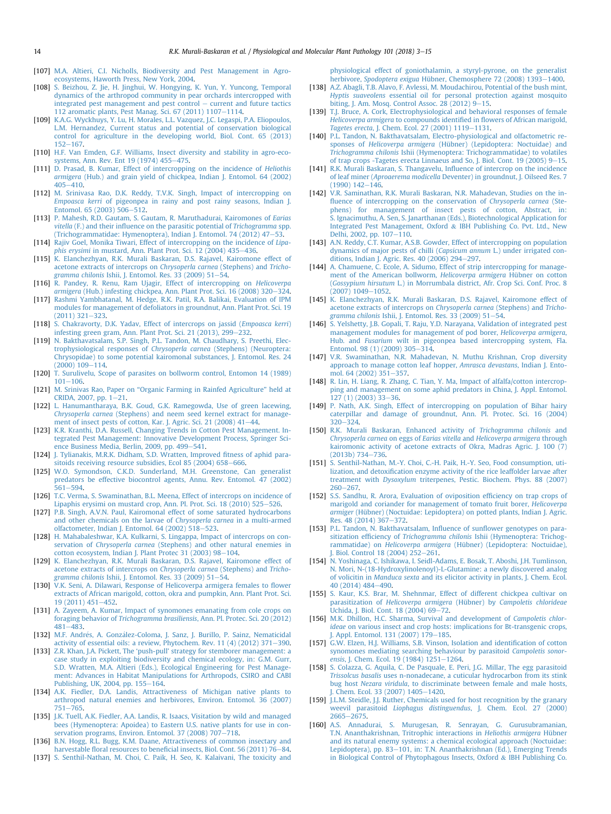- <span id="page-11-0"></span>[107] [M.A. Altieri, C.I. Nicholls, Biodiversity and Pest Management in Agro](http://refhub.elsevier.com/S0885-5765(17)30149-2/sref107)[ecosystems, Haworth Press, New York, 2004.](http://refhub.elsevier.com/S0885-5765(17)30149-2/sref107)
- [108] [S. Beizhou, Z. Jie, H. Jinghui, W. Hongying, K. Yun, Y. Yuncong, Temporal](http://refhub.elsevier.com/S0885-5765(17)30149-2/sref108) [dynamics of the arthropod community in pear orchards intercropped with](http://refhub.elsevier.com/S0885-5765(17)30149-2/sref108)  $intermediateed$  pest management and pest control  $-$  [current and future tactics](http://refhub.elsevier.com/S0885-5765(17)30149-2/sref108) [112 aromatic plants, Pest Manag. Sci. 67 \(2011\) 1107](http://refhub.elsevier.com/S0885-5765(17)30149-2/sref108)-[1114](http://refhub.elsevier.com/S0885-5765(17)30149-2/sref108).
- [109] [K.A.G. Wyckhuys, Y. Lu, H. Morales, L.L. Vazquez, J.C. Legaspi, P.A. Eliopoulos,](http://refhub.elsevier.com/S0885-5765(17)30149-2/sref109) [L.M. Hernandez, Current status and potential of conservation biological](http://refhub.elsevier.com/S0885-5765(17)30149-2/sref109) [control for agriculture in the developing world, Biol. Cont. 65 \(2013\)](http://refhub.elsevier.com/S0885-5765(17)30149-2/sref109)  $152 - 167.$  $152 - 167.$  $152 - 167.$
- [110] [H.F. Van Emden, G.F. Williams, Insect diversity and stability in agro-eco](http://refhub.elsevier.com/S0885-5765(17)30149-2/sref110)[systems, Ann. Rev. Ent 19 \(1974\) 455](http://refhub.elsevier.com/S0885-5765(17)30149-2/sref110)–[475.](http://refhub.elsevier.com/S0885-5765(17)30149-2/sref110)
- [111] [D. Prasad, B. Kumar, Effect of intercropping on the incidence of](http://refhub.elsevier.com/S0885-5765(17)30149-2/sref111) Heliothis armigera [\(Hub.\) and grain yield of chickpea, Indian J. Entomol. 64 \(2002\)](http://refhub.elsevier.com/S0885-5765(17)30149-2/sref111)  $405 - 410$  $405 - 410$ .
- [112] [M. Srinivasa Rao, D.K. Reddy, T.V.K. Singh, Impact of intercropping on](http://refhub.elsevier.com/S0885-5765(17)30149-2/sref112) Empoasca kerri [of pigeonpea in rainy and post rainy seasons, Indian J.](http://refhub.elsevier.com/S0885-5765(17)30149-2/sref112) Entomol.  $65$  (2003)  $506 - 512$  $506 - 512$ .
- [113] [P. Mahesh, R.D. Gautam, S. Gautam, R. Maruthadurai, Kairomones of](http://refhub.elsevier.com/S0885-5765(17)30149-2/sref113) Earias vitella (F.) and their infl[uence on the parasitic potential of](http://refhub.elsevier.com/S0885-5765(17)30149-2/sref113) Trichogramma spp. [\(Trichogrammatidae: Hymenoptera\), Indian J. Entomol. 74 \(2012\) 47](http://refhub.elsevier.com/S0885-5765(17)30149-2/sref113)–[53.](http://refhub.elsevier.com/S0885-5765(17)30149-2/sref113)
- [114] [Rajiv Goel, Monika Tiwari, Effect of intercropping on the incidence of](http://refhub.elsevier.com/S0885-5765(17)30149-2/sref114) Lipaphis erysimi [in mustard, Ann. Plant Prot. Sci. 12 \(2004\) 435](http://refhub.elsevier.com/S0885-5765(17)30149-2/sref114)-[436.](http://refhub.elsevier.com/S0885-5765(17)30149-2/sref114)
- [115] [K. Elanchezhyan, R.K. Murali Baskaran, D.S. Rajavel, Kairomone effect of](http://refhub.elsevier.com/S0885-5765(17)30149-2/sref115) [acetone extracts of intercrops on](http://refhub.elsevier.com/S0885-5765(17)30149-2/sref115) Chrysoperla carnea (Stephens) and Tricho-gramma chilonis [Ishii, J. Entomol. Res. 33 \(2009\) 51](http://refhub.elsevier.com/S0885-5765(17)30149-2/sref115)-[54.](http://refhub.elsevier.com/S0885-5765(17)30149-2/sref115)
- [116] [R. Pandey, R. Renu, Ram Ujagir, Effect of intercropping on](http://refhub.elsevier.com/S0885-5765(17)30149-2/sref116) Helicoverpa armigera [\(Hub.\) infesting chickpea, Ann. Plant Prot. Sci. 16 \(2008\) 320](http://refhub.elsevier.com/S0885-5765(17)30149-2/sref116)-[324](http://refhub.elsevier.com/S0885-5765(17)30149-2/sref116).
- [117] [Rashmi Yambhatanal, M. Hedge, R.K. Patil, R.A. Balikai, Evaluation of IPM](http://refhub.elsevier.com/S0885-5765(17)30149-2/sref117) [modules for management of defoliators in groundnut, Ann. Plant Prot. Sci. 19](http://refhub.elsevier.com/S0885-5765(17)30149-2/sref117)  $(2011)$  321-[323.](http://refhub.elsevier.com/S0885-5765(17)30149-2/sref117)
- [118] [S. Chakravorty, D.K. Yadav, Effect of intercrops on jassid \(](http://refhub.elsevier.com/S0885-5765(17)30149-2/sref118)Empoasca kerri) [infesting green gram, Ann. Plant Prot. Sci. 21 \(2013\), 299](http://refhub.elsevier.com/S0885-5765(17)30149-2/sref118)-[232.](http://refhub.elsevier.com/S0885-5765(17)30149-2/sref118)
- [119] [N. Bakthavatsalam, S.P. Singh, P.L. Tandon, M. Chaudhary, S. Preethi, Elec](http://refhub.elsevier.com/S0885-5765(17)30149-2/sref119)[trophysiological responses of](http://refhub.elsevier.com/S0885-5765(17)30149-2/sref119) Chrysoperla carnea (Stephens) (Neuroptera: [Chrysopidae\) to some potential kairomonal substances, J. Entomol. Res. 24](http://refhub.elsevier.com/S0885-5765(17)30149-2/sref119)  $(2000)$  109-[114.](http://refhub.elsevier.com/S0885-5765(17)30149-2/sref119)
- [120] [T. Surulivelu, Scope of parasites on bollworm control, Entomon 14 \(1989\)](http://refhub.elsevier.com/S0885-5765(17)30149-2/sref120)  $101 - 106$  $101 - 106$ .
- [121] M. Srinivas Rao, Paper on "[Organic Farming in Rainfed Agriculture](http://refhub.elsevier.com/S0885-5765(17)30149-2/sref121)" held at [CRIDA, 2007, pp. 1](http://refhub.elsevier.com/S0885-5765(17)30149-2/sref121)-[21.](http://refhub.elsevier.com/S0885-5765(17)30149-2/sref121)
- [122] [L. Hanumantharaya, B.K. Goud, G.K. Ramegowda, Use of green lacewing,](http://refhub.elsevier.com/S0885-5765(17)30149-2/sref122) Chrysoperla carnea [\(Stephens\) and neem seed kernel extract for manage](http://refhub.elsevier.com/S0885-5765(17)30149-2/sref122)[ment of insect pests of cotton, Kar. J. Agric. Sci. 21 \(2008\) 41](http://refhub.elsevier.com/S0885-5765(17)30149-2/sref122)-[44.](http://refhub.elsevier.com/S0885-5765(17)30149-2/sref122)
- [123] [K.R. Kranthi, D.A. Russell, Changing Trends in Cotton Pest Management. In](http://refhub.elsevier.com/S0885-5765(17)30149-2/sref123)[tegrated Pest Management: Innovative Development Process, Springer Sci](http://refhub.elsevier.com/S0885-5765(17)30149-2/sref123)[ence Business Media, Berlin, 2009, pp. 499](http://refhub.elsevier.com/S0885-5765(17)30149-2/sref123)-[541.](http://refhub.elsevier.com/S0885-5765(17)30149-2/sref123)
- [124] [J. Tylianakis, M.R.K. Didham, S.D. Wratten, Improved](http://refhub.elsevier.com/S0885-5765(17)30149-2/sref124) fitness of aphid para[sitoids receiving resource subsidies, Ecol 85 \(2004\) 658](http://refhub.elsevier.com/S0885-5765(17)30149-2/sref124)-[666.](http://refhub.elsevier.com/S0885-5765(17)30149-2/sref124)
- [125] [W.O. Symondson, C.K.D. Sunderland, M.H. Greenstone, Can generalist](http://refhub.elsevier.com/S0885-5765(17)30149-2/sref125) [predators be effective biocontrol agents, Annu. Rev. Entomol. 47 \(2002\)](http://refhub.elsevier.com/S0885-5765(17)30149-2/sref125)  $561 - 594.$  $561 - 594.$  $561 - 594.$
- [126] [T.C. Verma, S. Swaminathan, B.L. Meena, Effect of intercrops on incidence of](http://refhub.elsevier.com/S0885-5765(17)30149-2/sref126) Lipaphis erysimi on mustard crop, Ann. Pl. Prot. Sci. 18  $(2010)$  525-[526.](http://refhub.elsevier.com/S0885-5765(17)30149-2/sref126)
- [127] [P.B. Singh, A.V.N. Paul, Kairomonal effect of some saturated hydrocarbons](http://refhub.elsevier.com/S0885-5765(17)30149-2/sref127) [and other chemicals on the larvae of](http://refhub.elsevier.com/S0885-5765(17)30149-2/sref127) Chrysoperla carnea in a multi-armed [olfactometer, Indian J. Entomol. 64 \(2002\) 518](http://refhub.elsevier.com/S0885-5765(17)30149-2/sref127)-[523](http://refhub.elsevier.com/S0885-5765(17)30149-2/sref127).
- [128] [H. Mahabaleshwar, K.A. Kulkarni, S. Lingappa, Impact of intercrops on con](http://refhub.elsevier.com/S0885-5765(17)30149-2/sref128)servation of Chrysoperla carnea [\(Stephens\) and other natural enemies in](http://refhub.elsevier.com/S0885-5765(17)30149-2/sref128) [cotton ecosystem, Indian J. Plant Protec 31 \(2003\) 98](http://refhub.elsevier.com/S0885-5765(17)30149-2/sref128)-[104](http://refhub.elsevier.com/S0885-5765(17)30149-2/sref128).
- [129] [K. Elanchezhyan, R.K. Murali Baskaran, D.S. Rajavel, Kairomone effect of](http://refhub.elsevier.com/S0885-5765(17)30149-2/sref129) [acetone extracts of intercrops on](http://refhub.elsevier.com/S0885-5765(17)30149-2/sref129) Chrysoperla carnea (Stephens) and Tricho-gramma chilonis [Ishii, J. Entomol. Res. 33 \(2009\) 51](http://refhub.elsevier.com/S0885-5765(17)30149-2/sref129)-[54.](http://refhub.elsevier.com/S0885-5765(17)30149-2/sref129)
- [130] [V.K. Seni, A. Dilawari, Response of Helicoverpa armigera females to](http://refhub.elsevier.com/S0885-5765(17)30149-2/sref130) flower [extracts of African marigold, cotton, okra and pumpkin, Ann. Plant Prot. Sci.](http://refhub.elsevier.com/S0885-5765(17)30149-2/sref130) [19 \(2011\) 451](http://refhub.elsevier.com/S0885-5765(17)30149-2/sref130)-[452.](http://refhub.elsevier.com/S0885-5765(17)30149-2/sref130)
- [131] [A. Zayeem, A. Kumar, Impact of synomones emanating from cole crops on](http://refhub.elsevier.com/S0885-5765(17)30149-2/sref131) foraging behavior of Trichogramma brasiliensis[, Ann. Pl. Protec. Sci. 20 \(2012\)](http://refhub.elsevier.com/S0885-5765(17)30149-2/sref131) [481](http://refhub.elsevier.com/S0885-5765(17)30149-2/sref131)-[483.](http://refhub.elsevier.com/S0885-5765(17)30149-2/sref131)
- [132] M.F. Andrés, A. Gonzá[lez-Coloma, J. Sanz, J. Burillo, P. Sainz, Nematicidal](http://refhub.elsevier.com/S0885-5765(17)30149-2/sref132) activity of essential oils: a review, Phytochem. Rev.  $11$  (4) (2012) 371-[390](http://refhub.elsevier.com/S0885-5765(17)30149-2/sref132).
- [133] Z.R. Khan, J.A. Pickett, The 'push-pull' [strategy for stemborer management: a](http://refhub.elsevier.com/S0885-5765(17)30149-2/sref133) [case study in exploiting biodiversity and chemical ecology, in: G.M. Gurr,](http://refhub.elsevier.com/S0885-5765(17)30149-2/sref133) [S.D. Wratten, M.A. Altieri \(Eds.\), Ecological Engineering for Pest Manage](http://refhub.elsevier.com/S0885-5765(17)30149-2/sref133)[ment: Advances in Habitat Manipulations for Arthropods, CSIRO and CABI](http://refhub.elsevier.com/S0885-5765(17)30149-2/sref133) [Publishing, UK, 2004, pp. 155](http://refhub.elsevier.com/S0885-5765(17)30149-2/sref133)-[164](http://refhub.elsevier.com/S0885-5765(17)30149-2/sref133).
- [134] [A.K. Fiedler, D.A. Landis, Attractiveness of Michigan native plants to](http://refhub.elsevier.com/S0885-5765(17)30149-2/sref134) [arthropod natural enemies and herbivores, Environ. Entomol. 36 \(2007\)](http://refhub.elsevier.com/S0885-5765(17)30149-2/sref134)  $751 - 765$  $751 - 765$
- [135] [J.K. Tuell, A.K. Fiedler, A.A. Landis, R. Isaacs, Visitation by wild and managed](http://refhub.elsevier.com/S0885-5765(17)30149-2/sref135) [bees \(Hymenoptera: Apoidea\) to Eastern U.S. native plants for use in con](http://refhub.elsevier.com/S0885-5765(17)30149-2/sref135)[servation programs, Environ. Entomol. 37 \(2008\) 707](http://refhub.elsevier.com/S0885-5765(17)30149-2/sref135)-[718](http://refhub.elsevier.com/S0885-5765(17)30149-2/sref135).
- [136] [B.N. Hogg, R.L. Bugg, K.M. Daane, Attractiveness of common insectary and](http://refhub.elsevier.com/S0885-5765(17)30149-2/sref136) harvestable floral resources to benefi[cial insects, Biol. Cont. 56 \(2011\) 76](http://refhub.elsevier.com/S0885-5765(17)30149-2/sref136)-[84](http://refhub.elsevier.com/S0885-5765(17)30149-2/sref136).
- [137] [S. Senthil-Nathan, M. Choi, C. Paik, H. Seo, K. Kalaivani, The toxicity and](http://refhub.elsevier.com/S0885-5765(17)30149-2/sref137)

[physiological effect of goniothalamin, a styryl-pyrone, on the generalist](http://refhub.elsevier.com/S0885-5765(17)30149-2/sref137) herbivore, Spodoptera exigua [Hübner, Chemosphere 72 \(2008\) 1393](http://refhub.elsevier.com/S0885-5765(17)30149-2/sref137)-[1400](http://refhub.elsevier.com/S0885-5765(17)30149-2/sref137).

- [138] [A.Z. Abagli, T.B. Alavo, F. Avlessi, M. Moudachirou, Potential of the bush mint,](http://refhub.elsevier.com/S0885-5765(17)30149-2/sref138) Hyptis suaveolens [essential oil for personal protection against mosquito](http://refhub.elsevier.com/S0885-5765(17)30149-2/sref138) biting, J. Am. Mosq. Control Assoc.  $28$  (2012) 9-[15](http://refhub.elsevier.com/S0885-5765(17)30149-2/sref138).
- [139] [T.J. Bruce, A. Cork, Electrophysiological and behavioral responses of female](http://refhub.elsevier.com/S0885-5765(17)30149-2/sref139) Helicoverpa armigera to compounds identified in fl[owers of African marigold,](http://refhub.elsevier.com/S0885-5765(17)30149-2/sref139) Tagetes erecta[, J. Chem. Ecol. 27 \(2001\) 1119](http://refhub.elsevier.com/S0885-5765(17)30149-2/sref139)-[1131.](http://refhub.elsevier.com/S0885-5765(17)30149-2/sref139)
- [140] [P.L. Tandon, N. Bakthavatsalam, Electro-physiological and olfactometric re](http://refhub.elsevier.com/S0885-5765(17)30149-2/sref140)sponses of Helicoverpa armigera [\(Hübner\) \(Lepidoptera: Noctuidae\) and](http://refhub.elsevier.com/S0885-5765(17)30149-2/sref140) Trichogramma chilonis [Ishii \(Hymenoptera: Trichogrammatidae\) to volatiles](http://refhub.elsevier.com/S0885-5765(17)30149-2/sref140) of trap crops -Tagetes erecta Linnaeus and So, J. Biol. Cont.  $19$  (2005) 9-[15](http://refhub.elsevier.com/S0885-5765(17)30149-2/sref140).
- [141] [R.K. Murali Baskaran, S. Thangavelu, In](http://refhub.elsevier.com/S0885-5765(17)30149-2/sref141)fluence of intercrop on the incidence of leaf miner (Aproaerema modicella [Deventer\) in groundnut, J. Oilseed Res. 7](http://refhub.elsevier.com/S0885-5765(17)30149-2/sref141)  $(1990)$  142 $-146$ .
- [142] [V.R. Saminathan, R.K. Murali Baskaran, N.R. Mahadevan, Studies on the in](http://refhub.elsevier.com/S0885-5765(17)30149-2/sref142)fl[uence of intercropping on the conservation of](http://refhub.elsevier.com/S0885-5765(17)30149-2/sref142) Chrysoperla carnea (Ste[phens\) for management of insect pests of cotton, Abstract, in:](http://refhub.elsevier.com/S0885-5765(17)30149-2/sref142) [S. Ignacimuthu, A. Sen, S. Janarthanan \(Eds.\), Biotechnological Application for](http://refhub.elsevier.com/S0885-5765(17)30149-2/sref142) [Integrated Pest Management, Oxford](http://refhub.elsevier.com/S0885-5765(17)30149-2/sref142) & [IBH Publishing Co. Pvt. Ltd., New](http://refhub.elsevier.com/S0885-5765(17)30149-2/sref142) [Delhi, 2002, pp. 107](http://refhub.elsevier.com/S0885-5765(17)30149-2/sref142)-[110.](http://refhub.elsevier.com/S0885-5765(17)30149-2/sref142)
- [143] [A.N. Reddy, C.T. Kumar, A.S.B. Gowder, Effect of intercropping on population](http://refhub.elsevier.com/S0885-5765(17)30149-2/sref143) [dynamics of major pests of chilli \(](http://refhub.elsevier.com/S0885-5765(17)30149-2/sref143)Capsicum annum L.) under irrigated con[ditions, Indian J. Agric. Res. 40 \(2006\) 294](http://refhub.elsevier.com/S0885-5765(17)30149-2/sref143)-[297.](http://refhub.elsevier.com/S0885-5765(17)30149-2/sref143)
- [144] [A. Chamuene, C. Ecole, A. Sidumo, Effect of strip intercropping for manage](http://refhub.elsevier.com/S0885-5765(17)30149-2/sref144)[ment of the American bollworm,](http://refhub.elsevier.com/S0885-5765(17)30149-2/sref144) Helicoverpa armigera Hübner on cotton (Gossypium hirsutum [L.\) in Morrumbala district, Afr. Crop Sci. Conf. Proc. 8](http://refhub.elsevier.com/S0885-5765(17)30149-2/sref144)  $(2007)$  1049 $-1052$  $-1052$ .
- [145] [K. Elanchezhyan, R.K. Murali Baskaran, D.S. Rajavel, Kairomone effect of](http://refhub.elsevier.com/S0885-5765(17)30149-2/sref145) [acetone extracts of intercrops on](http://refhub.elsevier.com/S0885-5765(17)30149-2/sref145) Chrysoperla carnea (Stephens) and Tricho-gramma chilonis [Ishii, J. Entomol. Res. 33 \(2009\) 51](http://refhub.elsevier.com/S0885-5765(17)30149-2/sref145)-[54.](http://refhub.elsevier.com/S0885-5765(17)30149-2/sref145)
- [146] [S. Yelshetty, J.B. Gopali, T. Raju, Y.D. Narayana, Validation of integrated pest](http://refhub.elsevier.com/S0885-5765(17)30149-2/sref146) [management modules for management of pod borer,](http://refhub.elsevier.com/S0885-5765(17)30149-2/sref146) Helicoverpa armigera, Hub. and Fusarium [wilt in pigeonpea based intercropping system, Fla.](http://refhub.elsevier.com/S0885-5765(17)30149-2/sref146) [Entomol. 98 \(1\) \(2009\) 305](http://refhub.elsevier.com/S0885-5765(17)30149-2/sref146)-[314.](http://refhub.elsevier.com/S0885-5765(17)30149-2/sref146)
- [147] [V.R. Swaminathan, N.R. Mahadevan, N. Muthu Krishnan, Crop diversity](http://refhub.elsevier.com/S0885-5765(17)30149-2/sref147) [approach to manage cotton leaf hopper,](http://refhub.elsevier.com/S0885-5765(17)30149-2/sref147) Amrasca devastans, Indian J. Ento[mol. 64 \(2002\) 351](http://refhub.elsevier.com/S0885-5765(17)30149-2/sref147)-[357](http://refhub.elsevier.com/S0885-5765(17)30149-2/sref147).
- [148] [R. Lin, H. Liang, R. Zhang, C. Tian, Y. Ma, Impact of alfalfa/cotton intercrop](http://refhub.elsevier.com/S0885-5765(17)30149-2/sref148)[ping and management on some aphid predators in China, J. Appl. Entomol.](http://refhub.elsevier.com/S0885-5765(17)30149-2/sref148) [127 \(1\) \(2003\) 33](http://refhub.elsevier.com/S0885-5765(17)30149-2/sref148)-[36.](http://refhub.elsevier.com/S0885-5765(17)30149-2/sref148)
- [149] [P. Nath, A.K. Singh, Effect of intercropping on population of Bihar hairy](http://refhub.elsevier.com/S0885-5765(17)30149-2/sref149) [caterpillar and damage of groundnut, Ann. Pl. Protec. Sci. 16 \(2004\)](http://refhub.elsevier.com/S0885-5765(17)30149-2/sref149)  $320 - 324.$  $320 - 324.$  $320 - 324.$
- [150] [R.K. Murali Baskaran, Enhanced activity of](http://refhub.elsevier.com/S0885-5765(17)30149-2/sref150) Trichogramma chilonis and Chrysoperla carnea on eggs of Earias vitella and [Helicoverpa armigera](http://refhub.elsevier.com/S0885-5765(17)30149-2/sref150) through [kairomonic activity of acetone extracts of Okra, Madras Agric. J. 100 \(7\)](http://refhub.elsevier.com/S0885-5765(17)30149-2/sref150)  $(2013b) 734 - 736.$  $(2013b) 734 - 736.$  $(2013b) 734 - 736.$
- [151] [S. Senthil-Nathan, M.-Y. Choi, C.-H. Paik, H.-Y. Seo, Food consumption, uti](http://refhub.elsevier.com/S0885-5765(17)30149-2/sref151)lization, and detoxifi[cation enzyme activity of the rice leaffolder larvae after](http://refhub.elsevier.com/S0885-5765(17)30149-2/sref151) treatment with Dysoxylum [triterpenes, Pestic. Biochem. Phys. 88 \(2007\)](http://refhub.elsevier.com/S0885-5765(17)30149-2/sref151)  $260 - 267$  $260 - 267$ .
- [152] [S.S. Sandhu, R. Arora, Evaluation of oviposition ef](http://refhub.elsevier.com/S0885-5765(17)30149-2/sref152)ficiency on trap crops of [marigold and coriander for management of tomato fruit borer,](http://refhub.elsevier.com/S0885-5765(17)30149-2/sref152) Helicoverpa armiger [\(Hübner\) \(Noctuidae: Lepidoptera\) on potted plants, Indian J. Agric.](http://refhub.elsevier.com/S0885-5765(17)30149-2/sref152) [Res. 48 \(2014\) 367](http://refhub.elsevier.com/S0885-5765(17)30149-2/sref152)-[372.](http://refhub.elsevier.com/S0885-5765(17)30149-2/sref152)
- [153] [P.L. Tandon, N. Bakthavatsalam, In](http://refhub.elsevier.com/S0885-5765(17)30149-2/sref153)fluence of sunflower genotypes on parasitization efficiency of Trichogramma chilonis [Ishii \(Hymenoptera: Trichog](http://refhub.elsevier.com/S0885-5765(17)30149-2/sref153)rammatidae) on Helicoverpa armigera [\(Hübner\) \(Lepidoptera: Noctuidae\),](http://refhub.elsevier.com/S0885-5765(17)30149-2/sref153)  $Biol.$  Control 18 (2004) 252-[261](http://refhub.elsevier.com/S0885-5765(17)30149-2/sref153).
- [154] [N. Yoshinaga, C. Ishikawa, I. Seidl-Adams, E. Bosak, T. Aboshi, J.H. Tumlinson,](http://refhub.elsevier.com/S0885-5765(17)30149-2/sref154) [N. Mori, N-\(18-Hydroxylinolenoyl\)-L-Glutamine: a newly discovered analog](http://refhub.elsevier.com/S0885-5765(17)30149-2/sref154) of volicitin in Manduca sexta [and its elicitor activity in plants, J. Chem. Ecol.](http://refhub.elsevier.com/S0885-5765(17)30149-2/sref154) [40 \(2014\) 484](http://refhub.elsevier.com/S0885-5765(17)30149-2/sref154)-[490.](http://refhub.elsevier.com/S0885-5765(17)30149-2/sref154)
- [155] [S. Kaur, K.S. Brar, M. Shehnmar, Effect of different chickpea cultivar on](http://refhub.elsevier.com/S0885-5765(17)30149-2/sref155) parasitization of Helicoverpa armigera (Hübner) by [Campoletis chlorideae](http://refhub.elsevier.com/S0885-5765(17)30149-2/sref155) Uchida, J. Biol. Cont. 18  $(2004) 69 - 72$ .
- [156] [M.K. Dhillon, H.C. Sharma, Survival and development of](http://refhub.elsevier.com/S0885-5765(17)30149-2/sref156) Campoletis chlorideae [on various insect and crop hosts: implications for Bt-transgenic crops,](http://refhub.elsevier.com/S0885-5765(17)30149-2/sref156) [J. Appl. Entomol. 131 \(2007\) 179](http://refhub.elsevier.com/S0885-5765(17)30149-2/sref156)-[185](http://refhub.elsevier.com/S0885-5765(17)30149-2/sref156).
- [157] [G.W. Elzen, H.J. Williams, S.B. Vinson, Isolation and identi](http://refhub.elsevier.com/S0885-5765(17)30149-2/sref157)fication of cotton [synomones mediating searching behaviour by parasitoid](http://refhub.elsevier.com/S0885-5765(17)30149-2/sref157) Campoletis sonor-ensis[, J. Chem. Ecol. 19 \(1984\) 1251](http://refhub.elsevier.com/S0885-5765(17)30149-2/sref157)-[1264](http://refhub.elsevier.com/S0885-5765(17)30149-2/sref157).
- [158] [S. Colazza, G. Aquila, C. De Pasquale, E. Peri, J.G. Millar, The egg parasitoid](http://refhub.elsevier.com/S0885-5765(17)30149-2/sref158) Trissolcus basalis [uses n-nonadecane, a cuticular hydrocarbon from its stink](http://refhub.elsevier.com/S0885-5765(17)30149-2/sref158) bug host Nezara viridula[, to discriminate between female and male hosts,](http://refhub.elsevier.com/S0885-5765(17)30149-2/sref158) [J. Chem. Ecol. 33 \(2007\) 1405](http://refhub.elsevier.com/S0885-5765(17)30149-2/sref158)-[1420](http://refhub.elsevier.com/S0885-5765(17)30149-2/sref158).
- [159] [J.L.M. Steidle, J.J. Ruther, Chemicals used for host recognition by the granary](http://refhub.elsevier.com/S0885-5765(17)30149-2/sref159) weevil parasitoid Liophagus distinguendus[, J. Chem. Ecol. 27 \(2000\)](http://refhub.elsevier.com/S0885-5765(17)30149-2/sref159)  $2665 - 2675$  $2665 - 2675$  $2665 - 2675$ .
- [160] [A.S. Annadurai, S. Murugesan, R. Senrayan, G. Gurusubramanian,](http://refhub.elsevier.com/S0885-5765(17)30149-2/sref160) [T.N. Ananthakrishnan, Tritrophic interactions in](http://refhub.elsevier.com/S0885-5765(17)30149-2/sref160) Heliothis armigera Hübner [and its natural enemy systems: a chemical ecological approach \(Noctuidae:](http://refhub.elsevier.com/S0885-5765(17)30149-2/sref160) [Lepidoptera\), pp. 83](http://refhub.elsevier.com/S0885-5765(17)30149-2/sref160)-[101, in: T.N. Ananthakrishnan \(Ed.\), Emerging Trends](http://refhub.elsevier.com/S0885-5765(17)30149-2/sref160) [in Biological Control of Phytophagous Insects, Oxford](http://refhub.elsevier.com/S0885-5765(17)30149-2/sref160) & [IBH Publishing Co.](http://refhub.elsevier.com/S0885-5765(17)30149-2/sref160)